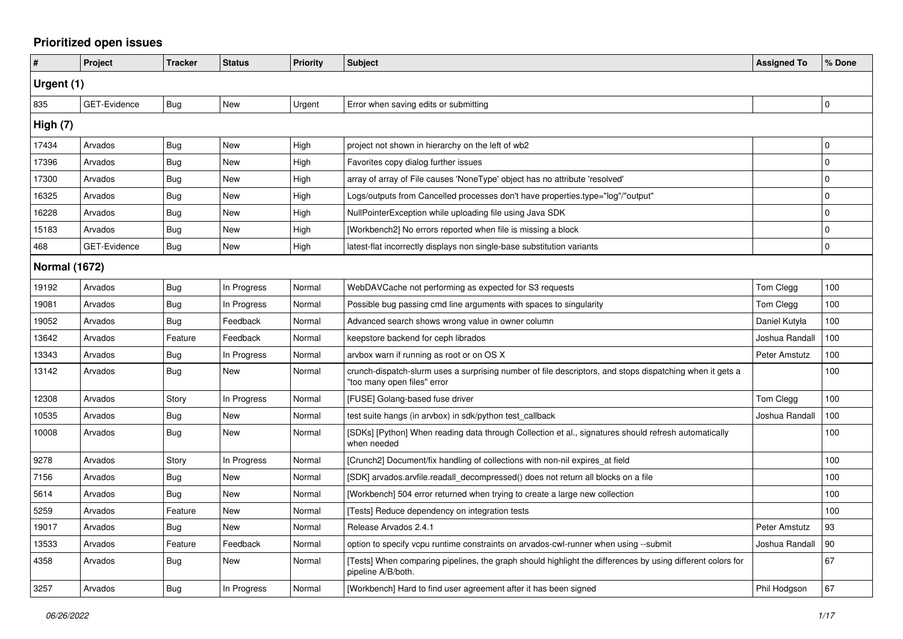## **Prioritized open issues**

| #                    | Project             | <b>Tracker</b> | <b>Status</b> | <b>Priority</b> | <b>Subject</b>                                                                                                                          | <b>Assigned To</b> | % Done      |
|----------------------|---------------------|----------------|---------------|-----------------|-----------------------------------------------------------------------------------------------------------------------------------------|--------------------|-------------|
| Urgent (1)           |                     |                |               |                 |                                                                                                                                         |                    |             |
| 835                  | <b>GET-Evidence</b> | Bug            | <b>New</b>    | Urgent          | Error when saving edits or submitting                                                                                                   |                    | $\mathbf 0$ |
| High (7)             |                     |                |               |                 |                                                                                                                                         |                    |             |
| 17434                | Arvados             | <b>Bug</b>     | <b>New</b>    | High            | project not shown in hierarchy on the left of wb2                                                                                       |                    | $\mathbf 0$ |
| 17396                | Arvados             | Bug            | <b>New</b>    | High            | Favorites copy dialog further issues                                                                                                    |                    | $\mathbf 0$ |
| 17300                | Arvados             | Bug            | <b>New</b>    | High            | array of array of File causes 'NoneType' object has no attribute 'resolved'                                                             |                    | $\mathbf 0$ |
| 16325                | Arvados             | Bug            | <b>New</b>    | High            | Logs/outputs from Cancelled processes don't have properties.type="log"/"output"                                                         |                    | $\mathbf 0$ |
| 16228                | Arvados             | <b>Bug</b>     | <b>New</b>    | High            | NullPointerException while uploading file using Java SDK                                                                                |                    | $\mathbf 0$ |
| 15183                | Arvados             | Bug            | <b>New</b>    | High            | [Workbench2] No errors reported when file is missing a block                                                                            |                    | $\mathbf 0$ |
| 468                  | GET-Evidence        | Bug            | New           | High            | latest-flat incorrectly displays non single-base substitution variants                                                                  |                    | $\mathbf 0$ |
| <b>Normal (1672)</b> |                     |                |               |                 |                                                                                                                                         |                    |             |
| 19192                | Arvados             | Bug            | In Progress   | Normal          | WebDAVCache not performing as expected for S3 requests                                                                                  | Tom Clegg          | 100         |
| 19081                | Arvados             | Bug            | In Progress   | Normal          | Possible bug passing cmd line arguments with spaces to singularity                                                                      | Tom Clegg          | 100         |
| 19052                | Arvados             | Bug            | Feedback      | Normal          | Advanced search shows wrong value in owner column                                                                                       | Daniel Kutyła      | 100         |
| 13642                | Arvados             | Feature        | Feedback      | Normal          | keepstore backend for ceph librados                                                                                                     | Joshua Randall     | 100         |
| 13343                | Arvados             | Bug            | In Progress   | Normal          | arvbox warn if running as root or on OS X                                                                                               | Peter Amstutz      | 100         |
| 13142                | Arvados             | Bug            | <b>New</b>    | Normal          | crunch-dispatch-slurm uses a surprising number of file descriptors, and stops dispatching when it gets a<br>"too many open files" error |                    | 100         |
| 12308                | Arvados             | Story          | In Progress   | Normal          | [FUSE] Golang-based fuse driver                                                                                                         | Tom Clegg          | 100         |
| 10535                | Arvados             | Bug            | New           | Normal          | test suite hangs (in arvbox) in sdk/python test callback                                                                                | Joshua Randall     | 100         |
| 10008                | Arvados             | Bug            | New           | Normal          | [SDKs] [Python] When reading data through Collection et al., signatures should refresh automatically<br>when needed                     |                    | 100         |
| 9278                 | Arvados             | Story          | In Progress   | Normal          | [Crunch2] Document/fix handling of collections with non-nil expires_at field                                                            |                    | 100         |
| 7156                 | Arvados             | Bug            | <b>New</b>    | Normal          | [SDK] arvados.arvfile.readall decompressed() does not return all blocks on a file                                                       |                    | 100         |
| 5614                 | Arvados             | Bug            | <b>New</b>    | Normal          | [Workbench] 504 error returned when trying to create a large new collection                                                             |                    | 100         |
| 5259                 | Arvados             | Feature        | <b>New</b>    | Normal          | [Tests] Reduce dependency on integration tests                                                                                          |                    | 100         |
| 19017                | Arvados             | Bug            | New           | Normal          | Release Arvados 2.4.1                                                                                                                   | Peter Amstutz      | 93          |
| 13533                | Arvados             | Feature        | Feedback      | Normal          | option to specify vcpu runtime constraints on arvados-cwl-runner when using --submit                                                    | Joshua Randall     | 90          |
| 4358                 | Arvados             | Bug            | New           | Normal          | [Tests] When comparing pipelines, the graph should highlight the differences by using different colors for<br>pipeline A/B/both.        |                    | 67          |
| 3257                 | Arvados             | <b>Bug</b>     | In Progress   | Normal          | [Workbench] Hard to find user agreement after it has been signed                                                                        | Phil Hodgson       | 67          |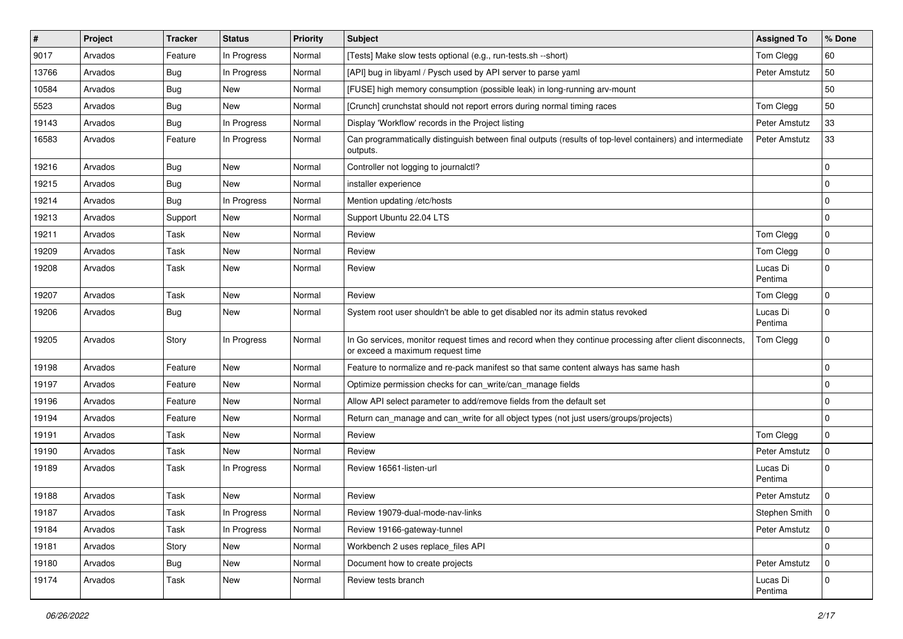| $\sharp$ | Project | Tracker    | <b>Status</b> | <b>Priority</b> | <b>Subject</b>                                                                                                                               | <b>Assigned To</b>  | % Done         |
|----------|---------|------------|---------------|-----------------|----------------------------------------------------------------------------------------------------------------------------------------------|---------------------|----------------|
| 9017     | Arvados | Feature    | In Progress   | Normal          | [Tests] Make slow tests optional (e.g., run-tests.sh --short)                                                                                | Tom Clegg           | 60             |
| 13766    | Arvados | <b>Bug</b> | In Progress   | Normal          | [API] bug in libyaml / Pysch used by API server to parse yaml                                                                                | Peter Amstutz       | 50             |
| 10584    | Arvados | <b>Bug</b> | New           | Normal          | [FUSE] high memory consumption (possible leak) in long-running arv-mount                                                                     |                     | 50             |
| 5523     | Arvados | Bug        | New           | Normal          | [Crunch] crunchstat should not report errors during normal timing races                                                                      | Tom Clegg           | 50             |
| 19143    | Arvados | Bug        | In Progress   | Normal          | Display 'Workflow' records in the Project listing                                                                                            | Peter Amstutz       | 33             |
| 16583    | Arvados | Feature    | In Progress   | Normal          | Can programmatically distinguish between final outputs (results of top-level containers) and intermediate<br>outputs.                        | Peter Amstutz       | 33             |
| 19216    | Arvados | <b>Bug</b> | New           | Normal          | Controller not logging to journalctl?                                                                                                        |                     | $\mathbf 0$    |
| 19215    | Arvados | <b>Bug</b> | New           | Normal          | installer experience                                                                                                                         |                     | 0              |
| 19214    | Arvados | <b>Bug</b> | In Progress   | Normal          | Mention updating /etc/hosts                                                                                                                  |                     | $\mathbf 0$    |
| 19213    | Arvados | Support    | New           | Normal          | Support Ubuntu 22.04 LTS                                                                                                                     |                     | $\mathbf 0$    |
| 19211    | Arvados | Task       | New           | Normal          | Review                                                                                                                                       | Tom Clegg           | $\mathbf 0$    |
| 19209    | Arvados | Task       | New           | Normal          | Review                                                                                                                                       | Tom Clegg           | $\pmb{0}$      |
| 19208    | Arvados | Task       | New           | Normal          | Review                                                                                                                                       | Lucas Di<br>Pentima | $\mathbf 0$    |
| 19207    | Arvados | Task       | New           | Normal          | Review                                                                                                                                       | Tom Clegg           | $\mathbf 0$    |
| 19206    | Arvados | <b>Bug</b> | New           | Normal          | System root user shouldn't be able to get disabled nor its admin status revoked                                                              | Lucas Di<br>Pentima | $\mathbf 0$    |
| 19205    | Arvados | Story      | In Progress   | Normal          | In Go services, monitor request times and record when they continue processing after client disconnects,<br>or exceed a maximum request time | Tom Clegg           | $\mathbf 0$    |
| 19198    | Arvados | Feature    | New           | Normal          | Feature to normalize and re-pack manifest so that same content always has same hash                                                          |                     | $\mathbf 0$    |
| 19197    | Arvados | Feature    | New           | Normal          | Optimize permission checks for can write/can manage fields                                                                                   |                     | $\mathbf 0$    |
| 19196    | Arvados | Feature    | New           | Normal          | Allow API select parameter to add/remove fields from the default set                                                                         |                     | $\mathbf 0$    |
| 19194    | Arvados | Feature    | New           | Normal          | Return can_manage and can_write for all object types (not just users/groups/projects)                                                        |                     | $\mathbf 0$    |
| 19191    | Arvados | Task       | New           | Normal          | Review                                                                                                                                       | Tom Clegg           | 0              |
| 19190    | Arvados | Task       | New           | Normal          | Review                                                                                                                                       | Peter Amstutz       | $\mathbf 0$    |
| 19189    | Arvados | Task       | In Progress   | Normal          | Review 16561-listen-url                                                                                                                      | Lucas Di<br>Pentima | 0              |
| 19188    | Arvados | Task       | New           | Normal          | Review                                                                                                                                       | Peter Amstutz       | $\mathbf 0$    |
| 19187    | Arvados | Task       | In Progress   | Normal          | Review 19079-dual-mode-nav-links                                                                                                             | Stephen Smith       | $\overline{0}$ |
| 19184    | Arvados | Task       | In Progress   | Normal          | Review 19166-gateway-tunnel                                                                                                                  | Peter Amstutz       | 0              |
| 19181    | Arvados | Story      | New           | Normal          | Workbench 2 uses replace_files API                                                                                                           |                     | $\mathbf 0$    |
| 19180    | Arvados | <b>Bug</b> | New           | Normal          | Document how to create projects                                                                                                              | Peter Amstutz       | $\mathbf 0$    |
| 19174    | Arvados | Task       | New           | Normal          | Review tests branch                                                                                                                          | Lucas Di<br>Pentima | $\mathbf 0$    |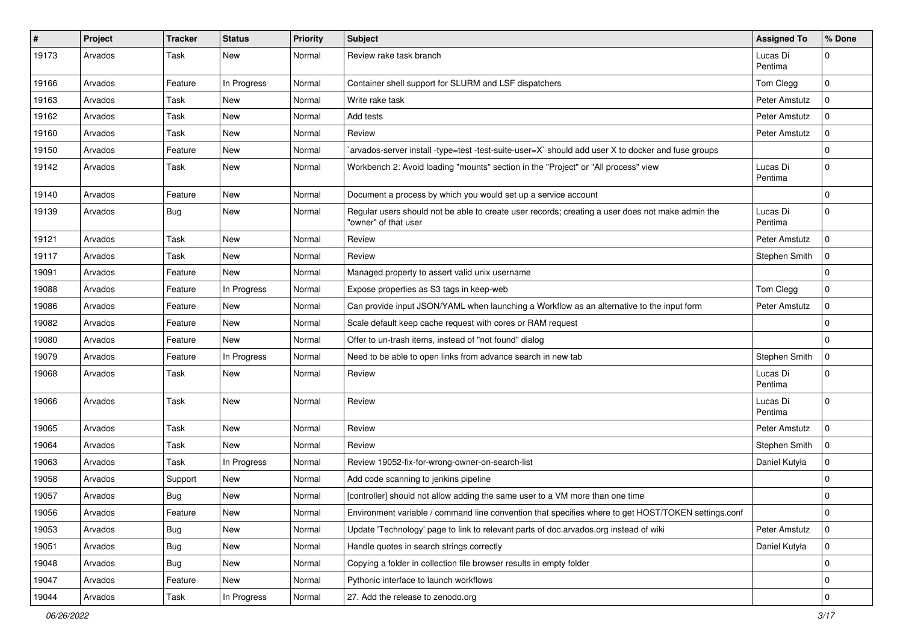| #     | Project | Tracker    | <b>Status</b> | <b>Priority</b> | Subject                                                                                                                  | <b>Assigned To</b>  | % Done              |
|-------|---------|------------|---------------|-----------------|--------------------------------------------------------------------------------------------------------------------------|---------------------|---------------------|
| 19173 | Arvados | Task       | New           | Normal          | Review rake task branch                                                                                                  | Lucas Di<br>Pentima | $\mathbf 0$         |
| 19166 | Arvados | Feature    | In Progress   | Normal          | Container shell support for SLURM and LSF dispatchers                                                                    | Tom Clegg           | $\mathbf 0$         |
| 19163 | Arvados | Task       | New           | Normal          | Write rake task                                                                                                          | Peter Amstutz       | $\mathbf 0$         |
| 19162 | Arvados | Task       | New           | Normal          | Add tests                                                                                                                | Peter Amstutz       | $\mathbf 0$         |
| 19160 | Arvados | Task       | New           | Normal          | Review                                                                                                                   | Peter Amstutz       | $\mathbf 0$         |
| 19150 | Arvados | Feature    | New           | Normal          | arvados-server install -type=test -test-suite-user=X` should add user X to docker and fuse groups                        |                     | $\mathbf 0$         |
| 19142 | Arvados | Task       | New           | Normal          | Workbench 2: Avoid loading "mounts" section in the "Project" or "All process" view                                       | Lucas Di<br>Pentima | $\mathbf 0$         |
| 19140 | Arvados | Feature    | New           | Normal          | Document a process by which you would set up a service account                                                           |                     | $\mathbf 0$         |
| 19139 | Arvados | <b>Bug</b> | New           | Normal          | Regular users should not be able to create user records; creating a user does not make admin the<br>"owner" of that user | Lucas Di<br>Pentima | $\mathbf 0$         |
| 19121 | Arvados | Task       | New           | Normal          | Review                                                                                                                   | Peter Amstutz       | $\mathbf 0$         |
| 19117 | Arvados | Task       | New           | Normal          | Review                                                                                                                   | Stephen Smith       | $\mathbf 0$         |
| 19091 | Arvados | Feature    | <b>New</b>    | Normal          | Managed property to assert valid unix username                                                                           |                     | $\mathbf 0$         |
| 19088 | Arvados | Feature    | In Progress   | Normal          | Expose properties as S3 tags in keep-web                                                                                 | Tom Clegg           | $\mathbf 0$         |
| 19086 | Arvados | Feature    | New           | Normal          | Can provide input JSON/YAML when launching a Workflow as an alternative to the input form                                | Peter Amstutz       | $\mathbf 0$         |
| 19082 | Arvados | Feature    | New           | Normal          | Scale default keep cache request with cores or RAM request                                                               |                     | $\mathbf 0$         |
| 19080 | Arvados | Feature    | New           | Normal          | Offer to un-trash items, instead of "not found" dialog                                                                   |                     | $\mathbf 0$         |
| 19079 | Arvados | Feature    | In Progress   | Normal          | Need to be able to open links from advance search in new tab                                                             | Stephen Smith       | $\pmb{0}$           |
| 19068 | Arvados | Task       | New           | Normal          | Review                                                                                                                   | Lucas Di<br>Pentima | $\mathbf 0$         |
| 19066 | Arvados | Task       | New           | Normal          | Review                                                                                                                   | Lucas Di<br>Pentima | $\mathbf 0$         |
| 19065 | Arvados | Task       | New           | Normal          | Review                                                                                                                   | Peter Amstutz       | $\Omega$            |
| 19064 | Arvados | Task       | <b>New</b>    | Normal          | Review                                                                                                                   | Stephen Smith       | $\mathbf 0$         |
| 19063 | Arvados | Task       | In Progress   | Normal          | Review 19052-fix-for-wrong-owner-on-search-list                                                                          | Daniel Kutyła       | $\mathbf 0$         |
| 19058 | Arvados | Support    | <b>New</b>    | Normal          | Add code scanning to jenkins pipeline                                                                                    |                     | $\mathbf 0$         |
| 19057 | Arvados | Bug        | New           | Normal          | [controller] should not allow adding the same user to a VM more than one time                                            |                     | 0                   |
| 19056 | Arvados | Feature    | New           | Normal          | Environment variable / command line convention that specifies where to get HOST/TOKEN settings.conf                      |                     | 0                   |
| 19053 | Arvados | Bug        | New           | Normal          | Update 'Technology' page to link to relevant parts of doc.arvados.org instead of wiki                                    | Peter Amstutz       | $\mathbf{0}$        |
| 19051 | Arvados | Bug        | New           | Normal          | Handle quotes in search strings correctly                                                                                | Daniel Kutyła       | $\mathbf 0$         |
| 19048 | Arvados | Bug        | New           | Normal          | Copying a folder in collection file browser results in empty folder                                                      |                     | $\mathbf 0$         |
| 19047 | Arvados | Feature    | New           | Normal          | Pythonic interface to launch workflows                                                                                   |                     | 0                   |
| 19044 | Arvados | Task       | In Progress   | Normal          | 27. Add the release to zenodo.org                                                                                        |                     | $\mathsf{O}\xspace$ |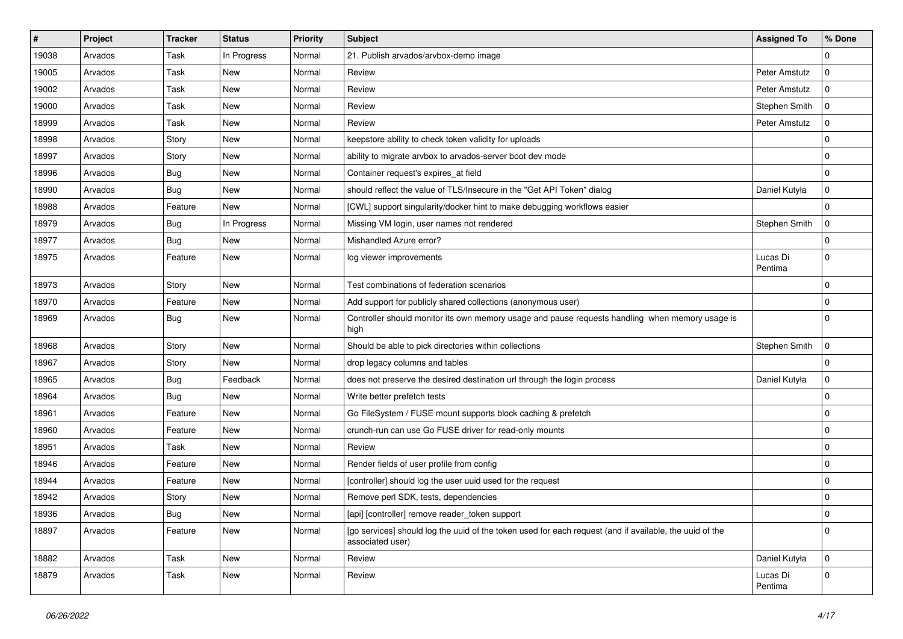| #     | Project | <b>Tracker</b> | <b>Status</b> | <b>Priority</b> | <b>Subject</b>                                                                                                              | <b>Assigned To</b>  | % Done      |
|-------|---------|----------------|---------------|-----------------|-----------------------------------------------------------------------------------------------------------------------------|---------------------|-------------|
| 19038 | Arvados | Task           | In Progress   | Normal          | 21. Publish arvados/arvbox-demo image                                                                                       |                     | $\mathbf 0$ |
| 19005 | Arvados | Task           | New           | Normal          | Review                                                                                                                      | Peter Amstutz       | $\mathbf 0$ |
| 19002 | Arvados | Task           | New           | Normal          | Review                                                                                                                      | Peter Amstutz       | $\mathbf 0$ |
| 19000 | Arvados | Task           | <b>New</b>    | Normal          | Review                                                                                                                      | Stephen Smith       | $\mathbf 0$ |
| 18999 | Arvados | Task           | New           | Normal          | Review                                                                                                                      | Peter Amstutz       | 0           |
| 18998 | Arvados | Story          | New           | Normal          | keepstore ability to check token validity for uploads                                                                       |                     | $\mathbf 0$ |
| 18997 | Arvados | Story          | <b>New</b>    | Normal          | ability to migrate arvbox to arvados-server boot dev mode                                                                   |                     | $\mathbf 0$ |
| 18996 | Arvados | Bug            | New           | Normal          | Container request's expires at field                                                                                        |                     | $\mathbf 0$ |
| 18990 | Arvados | <b>Bug</b>     | New           | Normal          | should reflect the value of TLS/Insecure in the "Get API Token" dialog                                                      | Daniel Kutyła       | $\mathbf 0$ |
| 18988 | Arvados | Feature        | <b>New</b>    | Normal          | [CWL] support singularity/docker hint to make debugging workflows easier                                                    |                     | $\mathbf 0$ |
| 18979 | Arvados | Bug            | In Progress   | Normal          | Missing VM login, user names not rendered                                                                                   | Stephen Smith       | $\mathbf 0$ |
| 18977 | Arvados | Bug            | New           | Normal          | Mishandled Azure error?                                                                                                     |                     | $\mathbf 0$ |
| 18975 | Arvados | Feature        | <b>New</b>    | Normal          | log viewer improvements                                                                                                     | Lucas Di<br>Pentima | $\mathbf 0$ |
| 18973 | Arvados | Story          | New           | Normal          | Test combinations of federation scenarios                                                                                   |                     | $\mathbf 0$ |
| 18970 | Arvados | Feature        | New           | Normal          | Add support for publicly shared collections (anonymous user)                                                                |                     | $\mathbf 0$ |
| 18969 | Arvados | Bug            | New           | Normal          | Controller should monitor its own memory usage and pause requests handling when memory usage is<br>high                     |                     | $\Omega$    |
| 18968 | Arvados | Story          | New           | Normal          | Should be able to pick directories within collections                                                                       | Stephen Smith       | $\mathbf 0$ |
| 18967 | Arvados | Story          | New           | Normal          | drop legacy columns and tables                                                                                              |                     | $\mathbf 0$ |
| 18965 | Arvados | Bug            | Feedback      | Normal          | does not preserve the desired destination url through the login process                                                     | Daniel Kutyła       | $\mathbf 0$ |
| 18964 | Arvados | Bug            | New           | Normal          | Write better prefetch tests                                                                                                 |                     | $\mathbf 0$ |
| 18961 | Arvados | Feature        | New           | Normal          | Go FileSystem / FUSE mount supports block caching & prefetch                                                                |                     | 0           |
| 18960 | Arvados | Feature        | New           | Normal          | crunch-run can use Go FUSE driver for read-only mounts                                                                      |                     | $\mathbf 0$ |
| 18951 | Arvados | Task           | New           | Normal          | Review                                                                                                                      |                     | $\mathbf 0$ |
| 18946 | Arvados | Feature        | New           | Normal          | Render fields of user profile from config                                                                                   |                     | 0           |
| 18944 | Arvados | Feature        | New           | Normal          | [controller] should log the user uuid used for the request                                                                  |                     | $\mathbf 0$ |
| 18942 | Arvados | Story          | New           | Normal          | Remove perl SDK, tests, dependencies                                                                                        |                     | $\mathbf 0$ |
| 18936 | Arvados | Bug            | New           | Normal          | [api] [controller] remove reader_token support                                                                              |                     | 0           |
| 18897 | Arvados | Feature        | New           | Normal          | [go services] should log the uuid of the token used for each request (and if available, the uuid of the<br>associated user) |                     | $\mathbf 0$ |
| 18882 | Arvados | Task           | New           | Normal          | Review                                                                                                                      | Daniel Kutyła       | $\mathbf 0$ |
| 18879 | Arvados | Task           | New           | Normal          | Review                                                                                                                      | Lucas Di<br>Pentima | $\mathbf 0$ |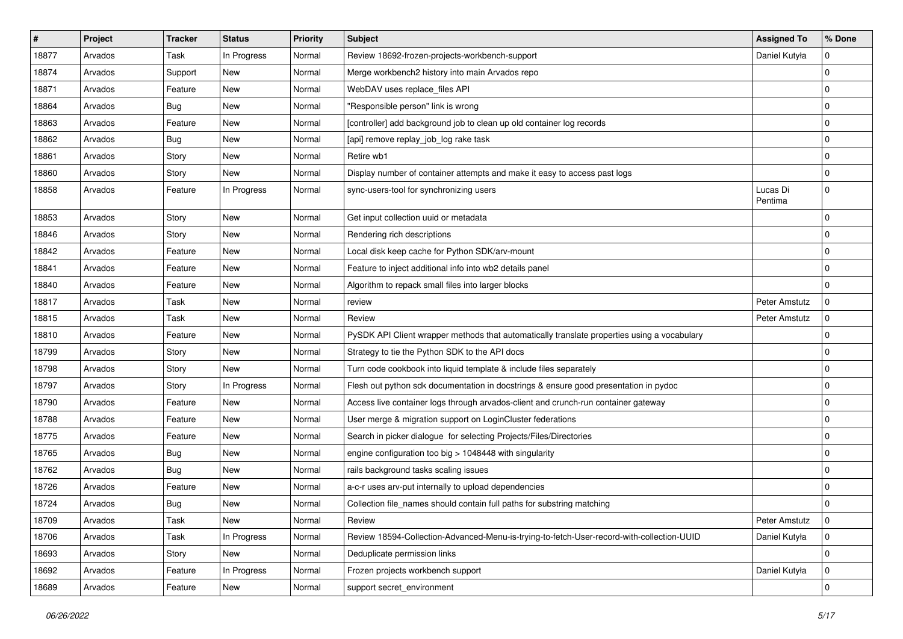| $\sharp$ | Project | <b>Tracker</b> | <b>Status</b> | Priority | Subject                                                                                     | <b>Assigned To</b>  | % Done      |
|----------|---------|----------------|---------------|----------|---------------------------------------------------------------------------------------------|---------------------|-------------|
| 18877    | Arvados | Task           | In Progress   | Normal   | Review 18692-frozen-projects-workbench-support                                              | Daniel Kutyła       | 0           |
| 18874    | Arvados | Support        | New           | Normal   | Merge workbench2 history into main Arvados repo                                             |                     | $\pmb{0}$   |
| 18871    | Arvados | Feature        | New           | Normal   | WebDAV uses replace files API                                                               |                     | 0           |
| 18864    | Arvados | <b>Bug</b>     | New           | Normal   | "Responsible person" link is wrong                                                          |                     | $\pmb{0}$   |
| 18863    | Arvados | Feature        | New           | Normal   | [controller] add background job to clean up old container log records                       |                     | 0           |
| 18862    | Arvados | <b>Bug</b>     | New           | Normal   | [api] remove replay_job_log rake task                                                       |                     | $\pmb{0}$   |
| 18861    | Arvados | Story          | New           | Normal   | Retire wb1                                                                                  |                     | 0           |
| 18860    | Arvados | Story          | New           | Normal   | Display number of container attempts and make it easy to access past logs                   |                     | 0           |
| 18858    | Arvados | Feature        | In Progress   | Normal   | sync-users-tool for synchronizing users                                                     | Lucas Di<br>Pentima | 0           |
| 18853    | Arvados | Story          | New           | Normal   | Get input collection uuid or metadata                                                       |                     | 0           |
| 18846    | Arvados | Story          | New           | Normal   | Rendering rich descriptions                                                                 |                     | $\pmb{0}$   |
| 18842    | Arvados | Feature        | New           | Normal   | Local disk keep cache for Python SDK/arv-mount                                              |                     | 0           |
| 18841    | Arvados | Feature        | New           | Normal   | Feature to inject additional info into wb2 details panel                                    |                     | 0           |
| 18840    | Arvados | Feature        | New           | Normal   | Algorithm to repack small files into larger blocks                                          |                     | $\mathbf 0$ |
| 18817    | Arvados | Task           | New           | Normal   | review                                                                                      | Peter Amstutz       | 0           |
| 18815    | Arvados | Task           | New           | Normal   | Review                                                                                      | Peter Amstutz       | $\mathbf 0$ |
| 18810    | Arvados | Feature        | New           | Normal   | PySDK API Client wrapper methods that automatically translate properties using a vocabulary |                     | 0           |
| 18799    | Arvados | Story          | New           | Normal   | Strategy to tie the Python SDK to the API docs                                              |                     | $\pmb{0}$   |
| 18798    | Arvados | Story          | New           | Normal   | Turn code cookbook into liquid template & include files separately                          |                     | 0           |
| 18797    | Arvados | Story          | In Progress   | Normal   | Flesh out python sdk documentation in docstrings & ensure good presentation in pydoc        |                     | 0           |
| 18790    | Arvados | Feature        | New           | Normal   | Access live container logs through arvados-client and crunch-run container gateway          |                     | $\pmb{0}$   |
| 18788    | Arvados | Feature        | New           | Normal   | User merge & migration support on LoginCluster federations                                  |                     | 0           |
| 18775    | Arvados | Feature        | New           | Normal   | Search in picker dialogue for selecting Projects/Files/Directories                          |                     | 0           |
| 18765    | Arvados | <b>Bug</b>     | New           | Normal   | engine configuration too big > 1048448 with singularity                                     |                     | 0           |
| 18762    | Arvados | <b>Bug</b>     | New           | Normal   | rails background tasks scaling issues                                                       |                     | 0           |
| 18726    | Arvados | Feature        | New           | Normal   | a-c-r uses arv-put internally to upload dependencies                                        |                     | $\mathbf 0$ |
| 18724    | Arvados | <b>Bug</b>     | New           | Normal   | Collection file_names should contain full paths for substring matching                      |                     | $\mathbf 0$ |
| 18709    | Arvados | Task           | New           | Normal   | Review                                                                                      | Peter Amstutz       | l 0         |
| 18706    | Arvados | Task           | In Progress   | Normal   | Review 18594-Collection-Advanced-Menu-is-trying-to-fetch-User-record-with-collection-UUID   | Daniel Kutyła       | $\mathbf 0$ |
| 18693    | Arvados | Story          | New           | Normal   | Deduplicate permission links                                                                |                     | 0           |
| 18692    | Arvados | Feature        | In Progress   | Normal   | Frozen projects workbench support                                                           | Daniel Kutyła       | $\mathbf 0$ |
| 18689    | Arvados | Feature        | New           | Normal   | support secret environment                                                                  |                     | $\pmb{0}$   |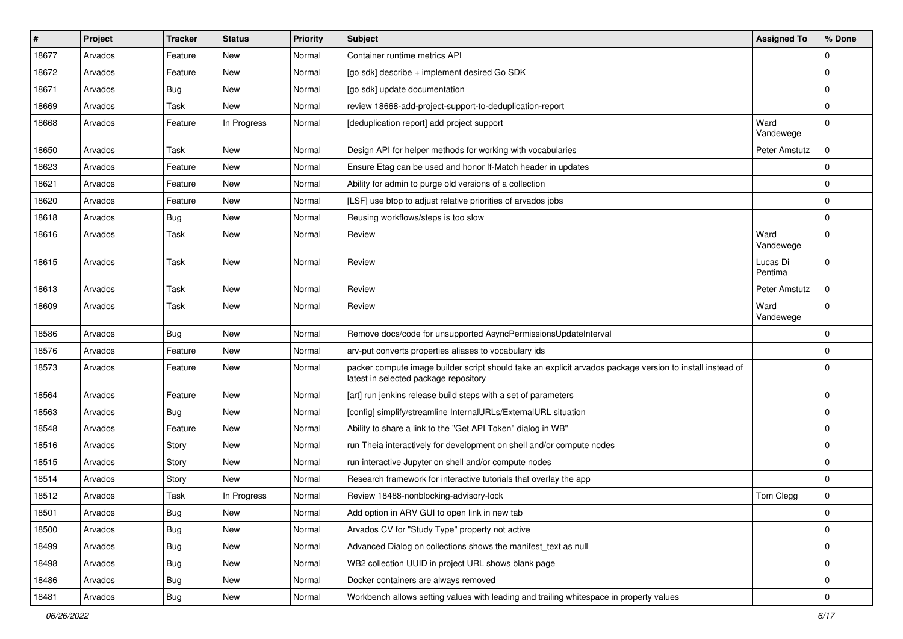| #     | Project | <b>Tracker</b> | <b>Status</b> | <b>Priority</b> | Subject                                                                                                                                            | <b>Assigned To</b>  | % Done      |
|-------|---------|----------------|---------------|-----------------|----------------------------------------------------------------------------------------------------------------------------------------------------|---------------------|-------------|
| 18677 | Arvados | Feature        | New           | Normal          | Container runtime metrics API                                                                                                                      |                     | $\mathbf 0$ |
| 18672 | Arvados | Feature        | New           | Normal          | [go sdk] describe + implement desired Go SDK                                                                                                       |                     | $\mathbf 0$ |
| 18671 | Arvados | <b>Bug</b>     | New           | Normal          | [go sdk] update documentation                                                                                                                      |                     | $\mathbf 0$ |
| 18669 | Arvados | Task           | New           | Normal          | review 18668-add-project-support-to-deduplication-report                                                                                           |                     | $\mathbf 0$ |
| 18668 | Arvados | Feature        | In Progress   | Normal          | [deduplication report] add project support                                                                                                         | Ward<br>Vandewege   | $\mathbf 0$ |
| 18650 | Arvados | Task           | <b>New</b>    | Normal          | Design API for helper methods for working with vocabularies                                                                                        | Peter Amstutz       | $\mathbf 0$ |
| 18623 | Arvados | Feature        | New           | Normal          | Ensure Etag can be used and honor If-Match header in updates                                                                                       |                     | 0           |
| 18621 | Arvados | Feature        | New           | Normal          | Ability for admin to purge old versions of a collection                                                                                            |                     | $\mathbf 0$ |
| 18620 | Arvados | Feature        | New           | Normal          | [LSF] use btop to adjust relative priorities of arvados jobs                                                                                       |                     | 0           |
| 18618 | Arvados | <b>Bug</b>     | New           | Normal          | Reusing workflows/steps is too slow                                                                                                                |                     | $\mathbf 0$ |
| 18616 | Arvados | Task           | New           | Normal          | Review                                                                                                                                             | Ward<br>Vandewege   | $\Omega$    |
| 18615 | Arvados | Task           | New           | Normal          | Review                                                                                                                                             | Lucas Di<br>Pentima | $\mathbf 0$ |
| 18613 | Arvados | Task           | New           | Normal          | Review                                                                                                                                             | Peter Amstutz       | 0           |
| 18609 | Arvados | Task           | New           | Normal          | Review                                                                                                                                             | Ward<br>Vandewege   | $\mathbf 0$ |
| 18586 | Arvados | Bug            | New           | Normal          | Remove docs/code for unsupported AsyncPermissionsUpdateInterval                                                                                    |                     | $\mathbf 0$ |
| 18576 | Arvados | Feature        | New           | Normal          | arv-put converts properties aliases to vocabulary ids                                                                                              |                     | 0           |
| 18573 | Arvados | Feature        | New           | Normal          | packer compute image builder script should take an explicit arvados package version to install instead of<br>latest in selected package repository |                     | $\mathbf 0$ |
| 18564 | Arvados | Feature        | New           | Normal          | [art] run jenkins release build steps with a set of parameters                                                                                     |                     | $\mathbf 0$ |
| 18563 | Arvados | Bug            | New           | Normal          | [config] simplify/streamline InternalURLs/ExternalURL situation                                                                                    |                     | 0           |
| 18548 | Arvados | Feature        | New           | Normal          | Ability to share a link to the "Get API Token" dialog in WB"                                                                                       |                     | $\mathbf 0$ |
| 18516 | Arvados | Story          | New           | Normal          | run Theia interactively for development on shell and/or compute nodes                                                                              |                     | 0           |
| 18515 | Arvados | Story          | New           | Normal          | run interactive Jupyter on shell and/or compute nodes                                                                                              |                     | $\mathbf 0$ |
| 18514 | Arvados | Story          | New           | Normal          | Research framework for interactive tutorials that overlay the app                                                                                  |                     | $\mathbf 0$ |
| 18512 | Arvados | Task           | In Progress   | Normal          | Review 18488-nonblocking-advisory-lock                                                                                                             | Tom Clegg           | $\mathbf 0$ |
| 18501 | Arvados | <b>Bug</b>     | New           | Normal          | Add option in ARV GUI to open link in new tab                                                                                                      |                     | $\pmb{0}$   |
| 18500 | Arvados | <b>Bug</b>     | New           | Normal          | Arvados CV for "Study Type" property not active                                                                                                    |                     | $\mathbf 0$ |
| 18499 | Arvados | <b>Bug</b>     | New           | Normal          | Advanced Dialog on collections shows the manifest_text as null                                                                                     |                     | $\mathbf 0$ |
| 18498 | Arvados | <b>Bug</b>     | New           | Normal          | WB2 collection UUID in project URL shows blank page                                                                                                |                     | $\mathbf 0$ |
| 18486 | Arvados | <b>Bug</b>     | New           | Normal          | Docker containers are always removed                                                                                                               |                     | $\mathbf 0$ |
| 18481 | Arvados | Bug            | New           | Normal          | Workbench allows setting values with leading and trailing whitespace in property values                                                            |                     | $\mathbf 0$ |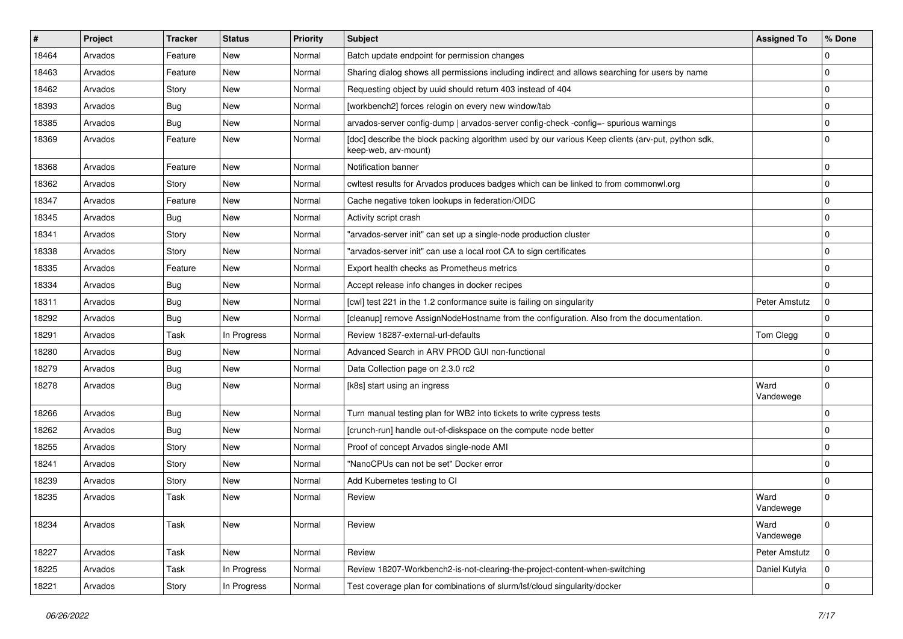| #     | Project | <b>Tracker</b> | <b>Status</b> | <b>Priority</b> | <b>Subject</b>                                                                                                            | <b>Assigned To</b> | % Done      |
|-------|---------|----------------|---------------|-----------------|---------------------------------------------------------------------------------------------------------------------------|--------------------|-------------|
| 18464 | Arvados | Feature        | New           | Normal          | Batch update endpoint for permission changes                                                                              |                    | $\mathbf 0$ |
| 18463 | Arvados | Feature        | New           | Normal          | Sharing dialog shows all permissions including indirect and allows searching for users by name                            |                    | $\mathbf 0$ |
| 18462 | Arvados | Story          | New           | Normal          | Requesting object by uuid should return 403 instead of 404                                                                |                    | $\mathbf 0$ |
| 18393 | Arvados | Bug            | New           | Normal          | [workbench2] forces relogin on every new window/tab                                                                       |                    | $\mathbf 0$ |
| 18385 | Arvados | <b>Bug</b>     | New           | Normal          | arvados-server config-dump   arvados-server config-check -config=- spurious warnings                                      |                    | $\mathbf 0$ |
| 18369 | Arvados | Feature        | New           | Normal          | [doc] describe the block packing algorithm used by our various Keep clients (arv-put, python sdk,<br>keep-web, arv-mount) |                    | $\Omega$    |
| 18368 | Arvados | Feature        | New           | Normal          | Notification banner                                                                                                       |                    | 0           |
| 18362 | Arvados | Story          | New           | Normal          | cwltest results for Arvados produces badges which can be linked to from commonwl.org                                      |                    | $\mathbf 0$ |
| 18347 | Arvados | Feature        | New           | Normal          | Cache negative token lookups in federation/OIDC                                                                           |                    | 0           |
| 18345 | Arvados | Bug            | New           | Normal          | Activity script crash                                                                                                     |                    | $\mathbf 0$ |
| 18341 | Arvados | Story          | New           | Normal          | "arvados-server init" can set up a single-node production cluster                                                         |                    | $\mathbf 0$ |
| 18338 | Arvados | Story          | New           | Normal          | "arvados-server init" can use a local root CA to sign certificates                                                        |                    | $\mathbf 0$ |
| 18335 | Arvados | Feature        | New           | Normal          | Export health checks as Prometheus metrics                                                                                |                    | $\mathbf 0$ |
| 18334 | Arvados | <b>Bug</b>     | New           | Normal          | Accept release info changes in docker recipes                                                                             |                    | $\mathbf 0$ |
| 18311 | Arvados | Bug            | New           | Normal          | [cwl] test 221 in the 1.2 conformance suite is failing on singularity                                                     | Peter Amstutz      | $\mathbf 0$ |
| 18292 | Arvados | Bug            | New           | Normal          | [cleanup] remove AssignNodeHostname from the configuration. Also from the documentation.                                  |                    | $\mathbf 0$ |
| 18291 | Arvados | Task           | In Progress   | Normal          | Review 18287-external-url-defaults                                                                                        | Tom Clegg          | $\mathbf 0$ |
| 18280 | Arvados | Bug            | New           | Normal          | Advanced Search in ARV PROD GUI non-functional                                                                            |                    | 0           |
| 18279 | Arvados | <b>Bug</b>     | <b>New</b>    | Normal          | Data Collection page on 2.3.0 rc2                                                                                         |                    | $\mathbf 0$ |
| 18278 | Arvados | Bug            | New           | Normal          | [k8s] start using an ingress                                                                                              | Ward<br>Vandewege  | $\Omega$    |
| 18266 | Arvados | Bug            | New           | Normal          | Turn manual testing plan for WB2 into tickets to write cypress tests                                                      |                    | $\mathbf 0$ |
| 18262 | Arvados | Bug            | New           | Normal          | [crunch-run] handle out-of-diskspace on the compute node better                                                           |                    | $\mathbf 0$ |
| 18255 | Arvados | Story          | New           | Normal          | Proof of concept Arvados single-node AMI                                                                                  |                    | $\mathbf 0$ |
| 18241 | Arvados | Story          | New           | Normal          | "NanoCPUs can not be set" Docker error                                                                                    |                    | 0           |
| 18239 | Arvados | Story          | New           | Normal          | Add Kubernetes testing to CI                                                                                              |                    | $\mathbf 0$ |
| 18235 | Arvados | Task           | New           | Normal          | Review                                                                                                                    | Ward<br>Vandewege  | $\Omega$    |
| 18234 | Arvados | Task           | New           | Normal          | Review                                                                                                                    | Ward<br>Vandewege  | $\pmb{0}$   |
| 18227 | Arvados | Task           | New           | Normal          | Review                                                                                                                    | Peter Amstutz      | $\mathbf 0$ |
| 18225 | Arvados | Task           | In Progress   | Normal          | Review 18207-Workbench2-is-not-clearing-the-project-content-when-switching                                                | Daniel Kutyła      | $\mathbf 0$ |
| 18221 | Arvados | Story          | In Progress   | Normal          | Test coverage plan for combinations of slurm/lsf/cloud singularity/docker                                                 |                    | $\pmb{0}$   |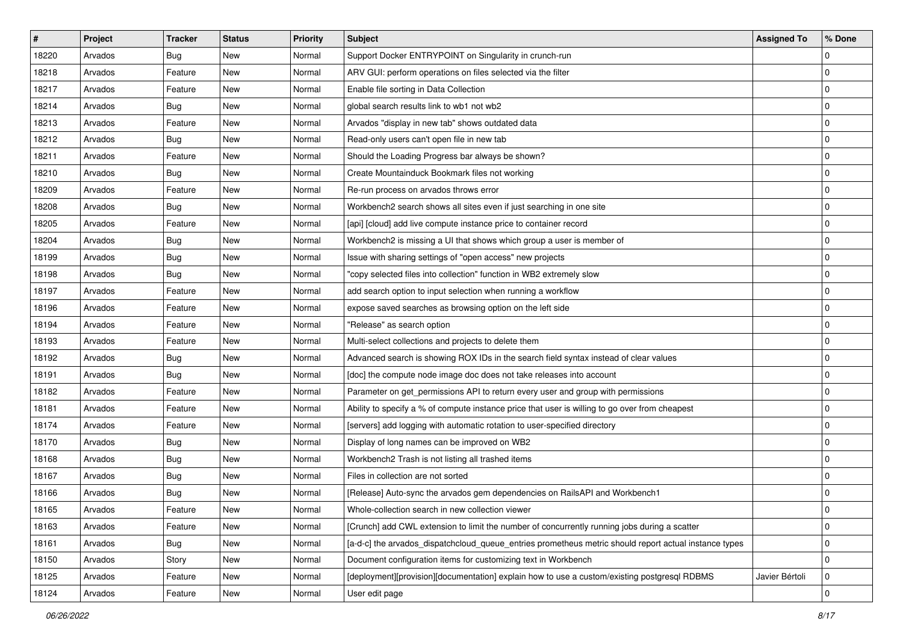| #     | Project | <b>Tracker</b> | <b>Status</b> | <b>Priority</b> | <b>Subject</b>                                                                                        | <b>Assigned To</b> | % Done              |
|-------|---------|----------------|---------------|-----------------|-------------------------------------------------------------------------------------------------------|--------------------|---------------------|
| 18220 | Arvados | <b>Bug</b>     | New           | Normal          | Support Docker ENTRYPOINT on Singularity in crunch-run                                                |                    | 0                   |
| 18218 | Arvados | Feature        | New           | Normal          | ARV GUI: perform operations on files selected via the filter                                          |                    | $\mathbf 0$         |
| 18217 | Arvados | Feature        | New           | Normal          | Enable file sorting in Data Collection                                                                |                    | 0                   |
| 18214 | Arvados | Bug            | New           | Normal          | global search results link to wb1 not wb2                                                             |                    | $\pmb{0}$           |
| 18213 | Arvados | Feature        | New           | Normal          | Arvados "display in new tab" shows outdated data                                                      |                    | 0                   |
| 18212 | Arvados | <b>Bug</b>     | New           | Normal          | Read-only users can't open file in new tab                                                            |                    | $\pmb{0}$           |
| 18211 | Arvados | Feature        | New           | Normal          | Should the Loading Progress bar always be shown?                                                      |                    | 0                   |
| 18210 | Arvados | Bug            | New           | Normal          | Create Mountainduck Bookmark files not working                                                        |                    | 0                   |
| 18209 | Arvados | Feature        | New           | Normal          | Re-run process on arvados throws error                                                                |                    | $\mathbf 0$         |
| 18208 | Arvados | <b>Bug</b>     | New           | Normal          | Workbench2 search shows all sites even if just searching in one site                                  |                    | 0                   |
| 18205 | Arvados | Feature        | New           | Normal          | [api] [cloud] add live compute instance price to container record                                     |                    | 0                   |
| 18204 | Arvados | Bug            | New           | Normal          | Workbench2 is missing a UI that shows which group a user is member of                                 |                    | 0                   |
| 18199 | Arvados | <b>Bug</b>     | New           | Normal          | Issue with sharing settings of "open access" new projects                                             |                    | 0                   |
| 18198 | Arvados | <b>Bug</b>     | New           | Normal          | "copy selected files into collection" function in WB2 extremely slow                                  |                    | $\pmb{0}$           |
| 18197 | Arvados | Feature        | New           | Normal          | add search option to input selection when running a workflow                                          |                    | 0                   |
| 18196 | Arvados | Feature        | New           | Normal          | expose saved searches as browsing option on the left side                                             |                    | 0                   |
| 18194 | Arvados | Feature        | New           | Normal          | "Release" as search option                                                                            |                    | 0                   |
| 18193 | Arvados | Feature        | New           | Normal          | Multi-select collections and projects to delete them                                                  |                    | 0                   |
| 18192 | Arvados | Bug            | New           | Normal          | Advanced search is showing ROX IDs in the search field syntax instead of clear values                 |                    | 0                   |
| 18191 | Arvados | <b>Bug</b>     | New           | Normal          | [doc] the compute node image doc does not take releases into account                                  |                    | $\mathbf 0$         |
| 18182 | Arvados | Feature        | New           | Normal          | Parameter on get_permissions API to return every user and group with permissions                      |                    | 0                   |
| 18181 | Arvados | Feature        | New           | Normal          | Ability to specify a % of compute instance price that user is willing to go over from cheapest        |                    | 0                   |
| 18174 | Arvados | Feature        | New           | Normal          | [servers] add logging with automatic rotation to user-specified directory                             |                    | $\mathbf 0$         |
| 18170 | Arvados | <b>Bug</b>     | New           | Normal          | Display of long names can be improved on WB2                                                          |                    | $\pmb{0}$           |
| 18168 | Arvados | Bug            | New           | Normal          | Workbench2 Trash is not listing all trashed items                                                     |                    | $\mathbf 0$         |
| 18167 | Arvados | <b>Bug</b>     | New           | Normal          | Files in collection are not sorted                                                                    |                    | 0                   |
| 18166 | Arvados | Bug            | New           | Normal          | [Release] Auto-sync the arvados gem dependencies on RailsAPI and Workbench1                           |                    | 0                   |
| 18165 | Arvados | Feature        | New           | Normal          | Whole-collection search in new collection viewer                                                      |                    | 0                   |
| 18163 | Arvados | Feature        | New           | Normal          | [Crunch] add CWL extension to limit the number of concurrently running jobs during a scatter          |                    | 0                   |
| 18161 | Arvados | Bug            | New           | Normal          | [a-d-c] the arvados_dispatchcloud_queue_entries prometheus metric should report actual instance types |                    | 0                   |
| 18150 | Arvados | Story          | New           | Normal          | Document configuration items for customizing text in Workbench                                        |                    | $\mathbf 0$         |
| 18125 | Arvados | Feature        | New           | Normal          | [deployment][provision][documentation] explain how to use a custom/existing postgresql RDBMS          | Javier Bértoli     | 0                   |
| 18124 | Arvados | Feature        | New           | Normal          | User edit page                                                                                        |                    | $\mathsf{O}\xspace$ |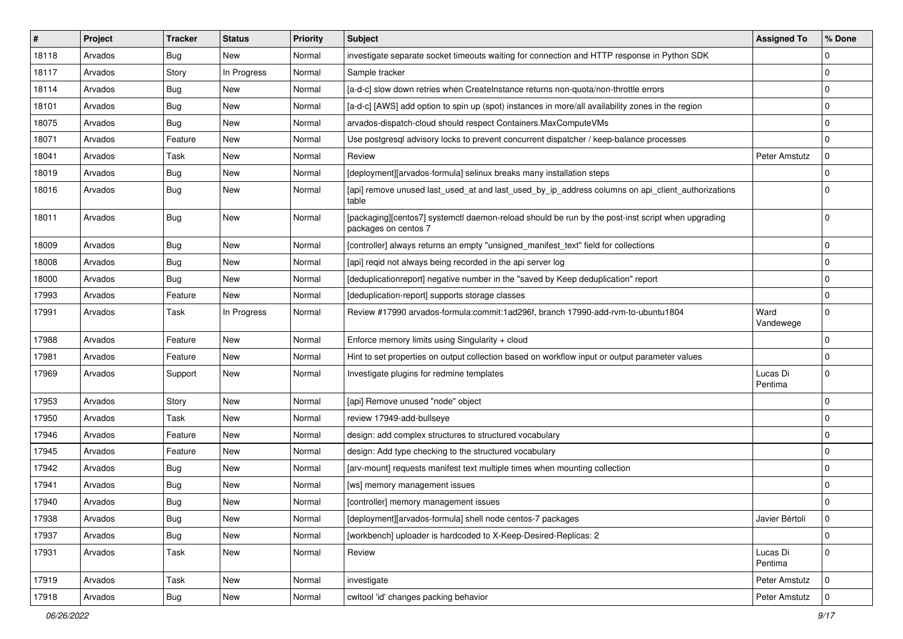| #     | Project | <b>Tracker</b> | <b>Status</b> | <b>Priority</b> | <b>Subject</b>                                                                                                            | <b>Assigned To</b>  | % Done      |
|-------|---------|----------------|---------------|-----------------|---------------------------------------------------------------------------------------------------------------------------|---------------------|-------------|
| 18118 | Arvados | Bug            | New           | Normal          | investigate separate socket timeouts waiting for connection and HTTP response in Python SDK                               |                     | $\Omega$    |
| 18117 | Arvados | Story          | In Progress   | Normal          | Sample tracker                                                                                                            |                     | $\Omega$    |
| 18114 | Arvados | Bug            | New           | Normal          | [a-d-c] slow down retries when CreateInstance returns non-quota/non-throttle errors                                       |                     | $\Omega$    |
| 18101 | Arvados | Bug            | <b>New</b>    | Normal          | [a-d-c] [AWS] add option to spin up (spot) instances in more/all availability zones in the region                         |                     | $\Omega$    |
| 18075 | Arvados | <b>Bug</b>     | <b>New</b>    | Normal          | arvados-dispatch-cloud should respect Containers.MaxComputeVMs                                                            |                     | $\Omega$    |
| 18071 | Arvados | Feature        | New           | Normal          | Use postgresql advisory locks to prevent concurrent dispatcher / keep-balance processes                                   |                     | $\Omega$    |
| 18041 | Arvados | Task           | <b>New</b>    | Normal          | Review                                                                                                                    | Peter Amstutz       | $\Omega$    |
| 18019 | Arvados | Bug            | New           | Normal          | [deployment][arvados-formula] selinux breaks many installation steps                                                      |                     | $\Omega$    |
| 18016 | Arvados | Bug            | <b>New</b>    | Normal          | [api] remove unused last_used_at and last_used_by_ip_address columns on api_client_authorizations<br>table                |                     | $\Omega$    |
| 18011 | Arvados | Bug            | New           | Normal          | [packaging][centos7] systemctl daemon-reload should be run by the post-inst script when upgrading<br>packages on centos 7 |                     | $\Omega$    |
| 18009 | Arvados | Bug            | <b>New</b>    | Normal          | [controller] always returns an empty "unsigned_manifest_text" field for collections                                       |                     | $\Omega$    |
| 18008 | Arvados | <b>Bug</b>     | New           | Normal          | [api] regid not always being recorded in the api server log                                                               |                     | $\Omega$    |
| 18000 | Arvados | Bug            | <b>New</b>    | Normal          | [deduplicationreport] negative number in the "saved by Keep deduplication" report                                         |                     | $\Omega$    |
| 17993 | Arvados | Feature        | <b>New</b>    | Normal          | [deduplication-report] supports storage classes                                                                           |                     | $\Omega$    |
| 17991 | Arvados | Task           | In Progress   | Normal          | Review #17990 arvados-formula:commit:1ad296f, branch 17990-add-rvm-to-ubuntu1804                                          | Ward<br>Vandewege   | $\Omega$    |
| 17988 | Arvados | Feature        | New           | Normal          | Enforce memory limits using Singularity + cloud                                                                           |                     | $\Omega$    |
| 17981 | Arvados | Feature        | New           | Normal          | Hint to set properties on output collection based on workflow input or output parameter values                            |                     | $\Omega$    |
| 17969 | Arvados | Support        | New           | Normal          | Investigate plugins for redmine templates                                                                                 | Lucas Di<br>Pentima | $\Omega$    |
| 17953 | Arvados | Story          | <b>New</b>    | Normal          | [api] Remove unused "node" object                                                                                         |                     | $\Omega$    |
| 17950 | Arvados | Task           | New           | Normal          | review 17949-add-bullseye                                                                                                 |                     | $\Omega$    |
| 17946 | Arvados | Feature        | New           | Normal          | design: add complex structures to structured vocabulary                                                                   |                     | $\Omega$    |
| 17945 | Arvados | Feature        | New           | Normal          | design: Add type checking to the structured vocabulary                                                                    |                     | $\Omega$    |
| 17942 | Arvados | Bug            | New           | Normal          | [arv-mount] requests manifest text multiple times when mounting collection                                                |                     | $\Omega$    |
| 17941 | Arvados | Bug            | New           | Normal          | [ws] memory management issues                                                                                             |                     | $\Omega$    |
| 17940 | Arvados | Bug            | New           | Normal          | [controller] memory management issues                                                                                     |                     | $\Omega$    |
| 17938 | Arvados | <b>Bug</b>     | New           | Normal          | [deployment][arvados-formula] shell node centos-7 packages                                                                | Javier Bértoli      | 0           |
| 17937 | Arvados | <b>Bug</b>     | New           | Normal          | [workbench] uploader is hardcoded to X-Keep-Desired-Replicas: 2                                                           |                     | $\Omega$    |
| 17931 | Arvados | Task           | New           | Normal          | Review                                                                                                                    | Lucas Di<br>Pentima | 0           |
| 17919 | Arvados | Task           | New           | Normal          | investigate                                                                                                               | Peter Amstutz       | $\mathbf 0$ |
| 17918 | Arvados | <b>Bug</b>     | New           | Normal          | cwltool 'id' changes packing behavior                                                                                     | Peter Amstutz       | $\mathbf 0$ |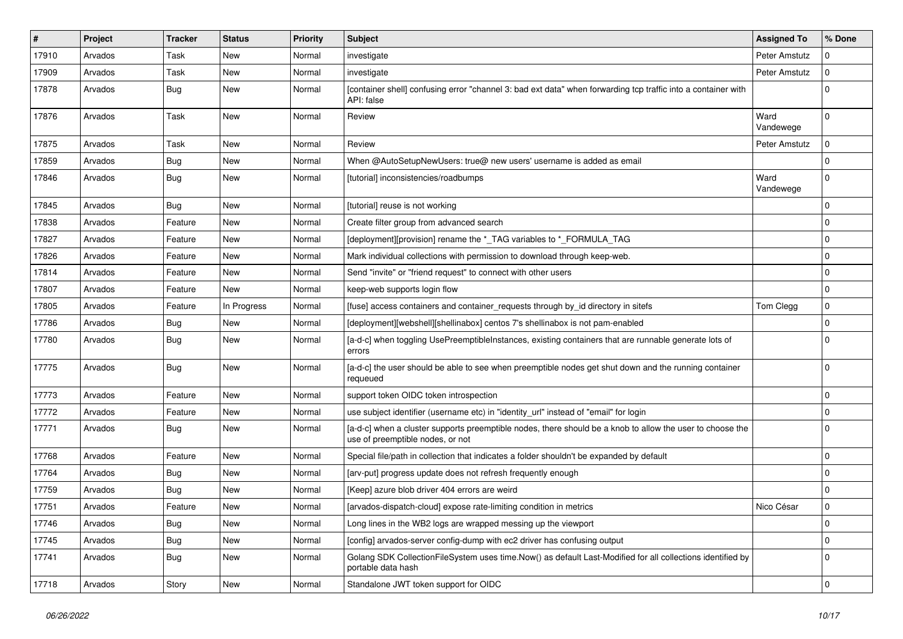| $\vert$ # | Project | <b>Tracker</b> | <b>Status</b> | <b>Priority</b> | <b>Subject</b>                                                                                                                                | <b>Assigned To</b> | % Done         |
|-----------|---------|----------------|---------------|-----------------|-----------------------------------------------------------------------------------------------------------------------------------------------|--------------------|----------------|
| 17910     | Arvados | Task           | New           | Normal          | investigate                                                                                                                                   | Peter Amstutz      |                |
| 17909     | Arvados | Task           | <b>New</b>    | Normal          | investigate                                                                                                                                   | Peter Amstutz      | 0              |
| 17878     | Arvados | <b>Bug</b>     | New           | Normal          | [container shell] confusing error "channel 3: bad ext data" when forwarding tcp traffic into a container with<br>API: false                   |                    | 0              |
| 17876     | Arvados | Task           | <b>New</b>    | Normal          | Review                                                                                                                                        | Ward<br>Vandewege  | $\Omega$       |
| 17875     | Arvados | Task           | <b>New</b>    | Normal          | Review                                                                                                                                        | Peter Amstutz      | 0              |
| 17859     | Arvados | Bug            | New           | Normal          | When @AutoSetupNewUsers: true@ new users' username is added as email                                                                          |                    | $\Omega$       |
| 17846     | Arvados | <b>Bug</b>     | New           | Normal          | [tutorial] inconsistencies/roadbumps                                                                                                          | Ward<br>Vandewege  | $\Omega$       |
| 17845     | Arvados | Bug            | New           | Normal          | [tutorial] reuse is not working                                                                                                               |                    | $\Omega$       |
| 17838     | Arvados | Feature        | New           | Normal          | Create filter group from advanced search                                                                                                      |                    | $\Omega$       |
| 17827     | Arvados | Feature        | New           | Normal          | [deployment][provision] rename the *_TAG variables to *_FORMULA_TAG                                                                           |                    | $\overline{0}$ |
| 17826     | Arvados | Feature        | New           | Normal          | Mark individual collections with permission to download through keep-web.                                                                     |                    | 0              |
| 17814     | Arvados | Feature        | New           | Normal          | Send "invite" or "friend request" to connect with other users                                                                                 |                    | $\Omega$       |
| 17807     | Arvados | Feature        | New           | Normal          | keep-web supports login flow                                                                                                                  |                    | $\mathbf 0$    |
| 17805     | Arvados | Feature        | In Progress   | Normal          | [fuse] access containers and container_requests through by_id directory in sitefs                                                             | Tom Clegg          | 0              |
| 17786     | Arvados | <b>Bug</b>     | New           | Normal          | [deployment][webshell][shellinabox] centos 7's shellinabox is not pam-enabled                                                                 |                    | O              |
| 17780     | Arvados | <b>Bug</b>     | New           | Normal          | [a-d-c] when toggling UsePreemptibleInstances, existing containers that are runnable generate lots of<br>errors                               |                    |                |
| 17775     | Arvados | Bug            | New           | Normal          | [a-d-c] the user should be able to see when preemptible nodes get shut down and the running container<br>requeued                             |                    | ſ              |
| 17773     | Arvados | Feature        | New           | Normal          | support token OIDC token introspection                                                                                                        |                    | $\Omega$       |
| 17772     | Arvados | Feature        | New           | Normal          | use subject identifier (username etc) in "identity_url" instead of "email" for login                                                          |                    | $\Omega$       |
| 17771     | Arvados | <b>Bug</b>     | New           | Normal          | [a-d-c] when a cluster supports preemptible nodes, there should be a knob to allow the user to choose the<br>use of preemptible nodes, or not |                    |                |
| 17768     | Arvados | Feature        | New           | Normal          | Special file/path in collection that indicates a folder shouldn't be expanded by default                                                      |                    | $\Omega$       |
| 17764     | Arvados | Bug            | New           | Normal          | [arv-put] progress update does not refresh frequently enough                                                                                  |                    | $\Omega$       |
| 17759     | Arvados | <b>Bug</b>     | New           | Normal          | [Keep] azure blob driver 404 errors are weird                                                                                                 |                    | $\Omega$       |
| 17751     | Arvados | Feature        | New           | Normal          | [arvados-dispatch-cloud] expose rate-limiting condition in metrics                                                                            | Nico César         | $\Omega$       |
| 17746     | Arvados | <b>Bug</b>     | New           | Normal          | Long lines in the WB2 logs are wrapped messing up the viewport                                                                                |                    | $\Omega$       |
| 17745     | Arvados | <b>Bug</b>     | New           | Normal          | [config] arvados-server config-dump with ec2 driver has confusing output                                                                      |                    | $\mathbf 0$    |
| 17741     | Arvados | Bug            | New           | Normal          | Golang SDK CollectionFileSystem uses time.Now() as default Last-Modified for all collections identified by<br>portable data hash              |                    | 0              |
| 17718     | Arvados | Story          | New           | Normal          | Standalone JWT token support for OIDC                                                                                                         |                    | $\mathbf 0$    |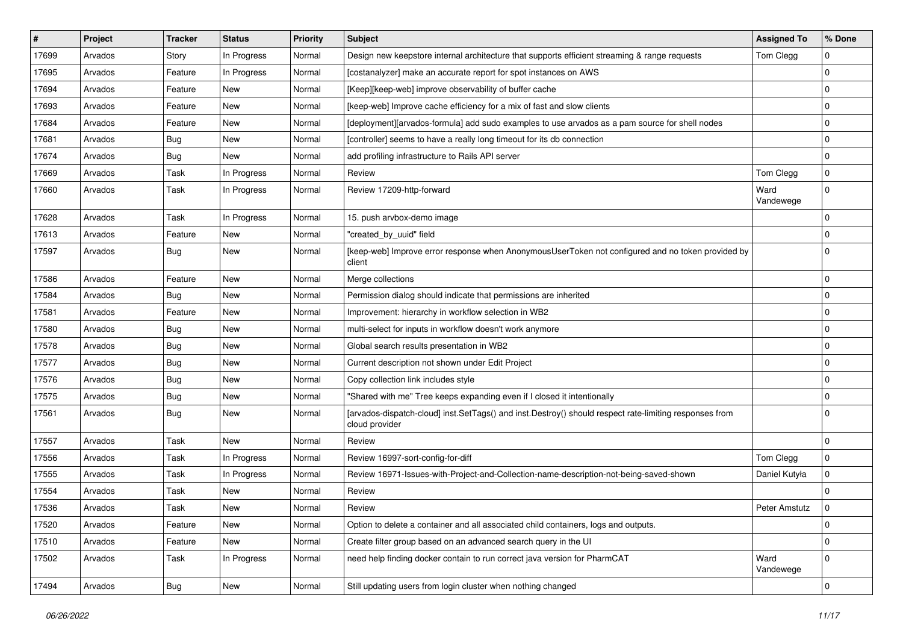| $\vert$ # | Project | <b>Tracker</b> | <b>Status</b> | <b>Priority</b> | Subject                                                                                                                  | <b>Assigned To</b> | % Done      |
|-----------|---------|----------------|---------------|-----------------|--------------------------------------------------------------------------------------------------------------------------|--------------------|-------------|
| 17699     | Arvados | Story          | In Progress   | Normal          | Design new keepstore internal architecture that supports efficient streaming & range requests                            | Tom Clegg          | $\Omega$    |
| 17695     | Arvados | Feature        | In Progress   | Normal          | [costanalyzer] make an accurate report for spot instances on AWS                                                         |                    | $\Omega$    |
| 17694     | Arvados | Feature        | New           | Normal          | [Keep][keep-web] improve observability of buffer cache                                                                   |                    | $\Omega$    |
| 17693     | Arvados | Feature        | New           | Normal          | [keep-web] Improve cache efficiency for a mix of fast and slow clients                                                   |                    | $\Omega$    |
| 17684     | Arvados | Feature        | New           | Normal          | [deployment][arvados-formula] add sudo examples to use arvados as a pam source for shell nodes                           |                    | $\mathbf 0$ |
| 17681     | Arvados | <b>Bug</b>     | New           | Normal          | [controller] seems to have a really long timeout for its db connection                                                   |                    | $\Omega$    |
| 17674     | Arvados | <b>Bug</b>     | New           | Normal          | add profiling infrastructure to Rails API server                                                                         |                    | $\Omega$    |
| 17669     | Arvados | Task           | In Progress   | Normal          | Review                                                                                                                   | Tom Clegg          | $\mathbf 0$ |
| 17660     | Arvados | Task           | In Progress   | Normal          | Review 17209-http-forward                                                                                                | Ward<br>Vandewege  | $\Omega$    |
| 17628     | Arvados | Task           | In Progress   | Normal          | 15. push arvbox-demo image                                                                                               |                    | $\Omega$    |
| 17613     | Arvados | Feature        | New           | Normal          | "created_by_uuid" field                                                                                                  |                    | $\Omega$    |
| 17597     | Arvados | Bug            | New           | Normal          | [keep-web] Improve error response when AnonymousUserToken not configured and no token provided by<br>client              |                    | $\Omega$    |
| 17586     | Arvados | Feature        | New           | Normal          | Merge collections                                                                                                        |                    | $\Omega$    |
| 17584     | Arvados | <b>Bug</b>     | New           | Normal          | Permission dialog should indicate that permissions are inherited                                                         |                    | $\Omega$    |
| 17581     | Arvados | Feature        | New           | Normal          | Improvement: hierarchy in workflow selection in WB2                                                                      |                    | $\Omega$    |
| 17580     | Arvados | <b>Bug</b>     | New           | Normal          | multi-select for inputs in workflow doesn't work anymore                                                                 |                    | $\Omega$    |
| 17578     | Arvados | Bug            | New           | Normal          | Global search results presentation in WB2                                                                                |                    | $\mathbf 0$ |
| 17577     | Arvados | Bug            | New           | Normal          | Current description not shown under Edit Project                                                                         |                    | $\Omega$    |
| 17576     | Arvados | Bug            | New           | Normal          | Copy collection link includes style                                                                                      |                    | $\Omega$    |
| 17575     | Arvados | Bug            | New           | Normal          | "Shared with me" Tree keeps expanding even if I closed it intentionally                                                  |                    | $\Omega$    |
| 17561     | Arvados | <b>Bug</b>     | New           | Normal          | [arvados-dispatch-cloud] inst.SetTags() and inst.Destroy() should respect rate-limiting responses from<br>cloud provider |                    | $\Omega$    |
| 17557     | Arvados | Task           | <b>New</b>    | Normal          | Review                                                                                                                   |                    | $\Omega$    |
| 17556     | Arvados | Task           | In Progress   | Normal          | Review 16997-sort-config-for-diff                                                                                        | Tom Clegg          | 0           |
| 17555     | Arvados | Task           | In Progress   | Normal          | Review 16971-Issues-with-Project-and-Collection-name-description-not-being-saved-shown                                   | Daniel Kutyła      | $\Omega$    |
| 17554     | Arvados | Task           | New           | Normal          | Review                                                                                                                   |                    | $\Omega$    |
| 17536     | Arvados | Task           | New           | Normal          | Review                                                                                                                   | Peter Amstutz      | $\Omega$    |
| 17520     | Arvados | Feature        | New           | Normal          | Option to delete a container and all associated child containers, logs and outputs.                                      |                    | $\mathbf 0$ |
| 17510     | Arvados | Feature        | New           | Normal          | Create filter group based on an advanced search query in the UI                                                          |                    | $\mathbf 0$ |
| 17502     | Arvados | Task           | In Progress   | Normal          | need help finding docker contain to run correct java version for PharmCAT                                                | Ward<br>Vandewege  | $\Omega$    |
| 17494     | Arvados | <b>Bug</b>     | New           | Normal          | Still updating users from login cluster when nothing changed                                                             |                    | $\mathbf 0$ |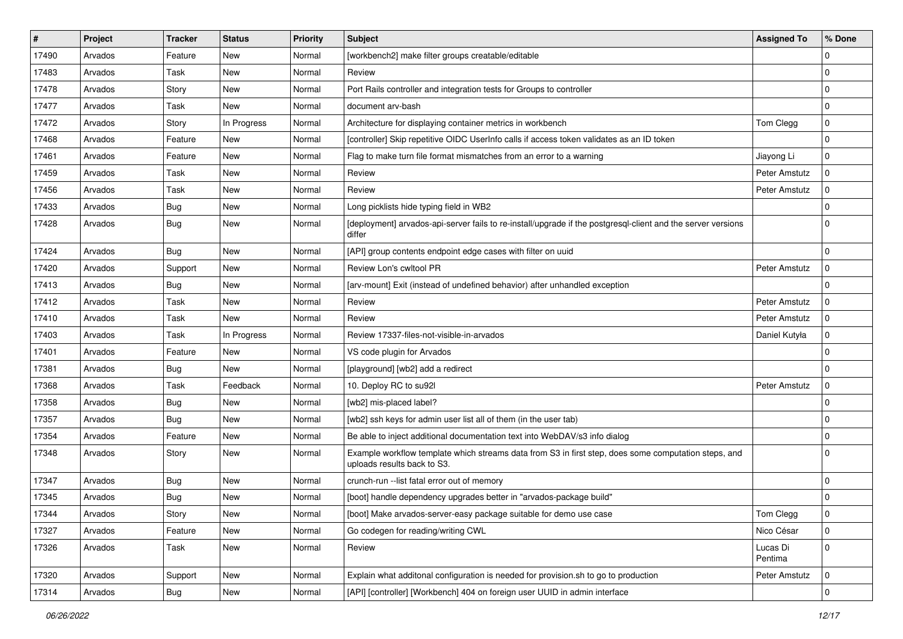| ∦     | <b>Project</b> | <b>Tracker</b> | <b>Status</b> | <b>Priority</b> | <b>Subject</b>                                                                                                                      | <b>Assigned To</b>  | % Done      |
|-------|----------------|----------------|---------------|-----------------|-------------------------------------------------------------------------------------------------------------------------------------|---------------------|-------------|
| 17490 | Arvados        | Feature        | New           | Normal          | [workbench2] make filter groups creatable/editable                                                                                  |                     | $\Omega$    |
| 17483 | Arvados        | Task           | New           | Normal          | Review                                                                                                                              |                     | $\Omega$    |
| 17478 | Arvados        | Story          | New           | Normal          | Port Rails controller and integration tests for Groups to controller                                                                |                     | $\Omega$    |
| 17477 | Arvados        | Task           | New           | Normal          | document arv-bash                                                                                                                   |                     | $\Omega$    |
| 17472 | Arvados        | Story          | In Progress   | Normal          | Architecture for displaying container metrics in workbench                                                                          | Tom Clegg           | $\mathbf 0$ |
| 17468 | Arvados        | Feature        | New           | Normal          | [controller] Skip repetitive OIDC UserInfo calls if access token validates as an ID token                                           |                     | $\Omega$    |
| 17461 | Arvados        | Feature        | <b>New</b>    | Normal          | Flag to make turn file format mismatches from an error to a warning                                                                 | Jiayong Li          | $\Omega$    |
| 17459 | Arvados        | Task           | <b>New</b>    | Normal          | Review                                                                                                                              | Peter Amstutz       | $\Omega$    |
| 17456 | Arvados        | Task           | New           | Normal          | Review                                                                                                                              | Peter Amstutz       | $\Omega$    |
| 17433 | Arvados        | Bug            | New           | Normal          | Long picklists hide typing field in WB2                                                                                             |                     | $\Omega$    |
| 17428 | Arvados        | <b>Bug</b>     | New           | Normal          | [deployment] arvados-api-server fails to re-install/upgrade if the postgresql-client and the server versions<br>differ              |                     | $\Omega$    |
| 17424 | Arvados        | Bug            | New           | Normal          | [API] group contents endpoint edge cases with filter on uuid                                                                        |                     | $\Omega$    |
| 17420 | Arvados        | Support        | New           | Normal          | Review Lon's cwltool PR                                                                                                             | Peter Amstutz       | $\Omega$    |
| 17413 | Arvados        | <b>Bug</b>     | New           | Normal          | [arv-mount] Exit (instead of undefined behavior) after unhandled exception                                                          |                     | $\Omega$    |
| 17412 | Arvados        | Task           | New           | Normal          | Review                                                                                                                              | Peter Amstutz       | $\Omega$    |
| 17410 | Arvados        | Task           | New           | Normal          | Review                                                                                                                              | Peter Amstutz       | $\Omega$    |
| 17403 | Arvados        | Task           | In Progress   | Normal          | Review 17337-files-not-visible-in-arvados                                                                                           | Daniel Kutyła       | $\Omega$    |
| 17401 | Arvados        | Feature        | New           | Normal          | VS code plugin for Arvados                                                                                                          |                     | $\Omega$    |
| 17381 | Arvados        | <b>Bug</b>     | <b>New</b>    | Normal          | [playground] [wb2] add a redirect                                                                                                   |                     | $\Omega$    |
| 17368 | Arvados        | Task           | Feedback      | Normal          | 10. Deploy RC to su92l                                                                                                              | Peter Amstutz       | $\Omega$    |
| 17358 | Arvados        | <b>Bug</b>     | New           | Normal          | [wb2] mis-placed label?                                                                                                             |                     | $\Omega$    |
| 17357 | Arvados        | Bug            | New           | Normal          | [wb2] ssh keys for admin user list all of them (in the user tab)                                                                    |                     | $\Omega$    |
| 17354 | Arvados        | Feature        | New           | Normal          | Be able to inject additional documentation text into WebDAV/s3 info dialog                                                          |                     | $\Omega$    |
| 17348 | Arvados        | Story          | New           | Normal          | Example workflow template which streams data from S3 in first step, does some computation steps, and<br>uploads results back to S3. |                     | $\Omega$    |
| 17347 | Arvados        | Bug            | New           | Normal          | crunch-run -- list fatal error out of memory                                                                                        |                     | $\Omega$    |
| 17345 | Arvados        | <b>Bug</b>     | New           | Normal          | [boot] handle dependency upgrades better in "arvados-package build"                                                                 |                     | $\Omega$    |
| 17344 | Arvados        | Story          | New           | Normal          | [boot] Make arvados-server-easy package suitable for demo use case                                                                  | Tom Clegg           | 0           |
| 17327 | Arvados        | Feature        | New           | Normal          | Go codegen for reading/writing CWL                                                                                                  | Nico César          | $\mathbf 0$ |
| 17326 | Arvados        | Task           | New           | Normal          | Review                                                                                                                              | Lucas Di<br>Pentima | $\mathbf 0$ |
| 17320 | Arvados        | Support        | New           | Normal          | Explain what additonal configuration is needed for provision.sh to go to production                                                 | Peter Amstutz       | $\mathbf 0$ |
| 17314 | Arvados        | Bug            | New           | Normal          | [API] [controller] [Workbench] 404 on foreign user UUID in admin interface                                                          |                     | 0           |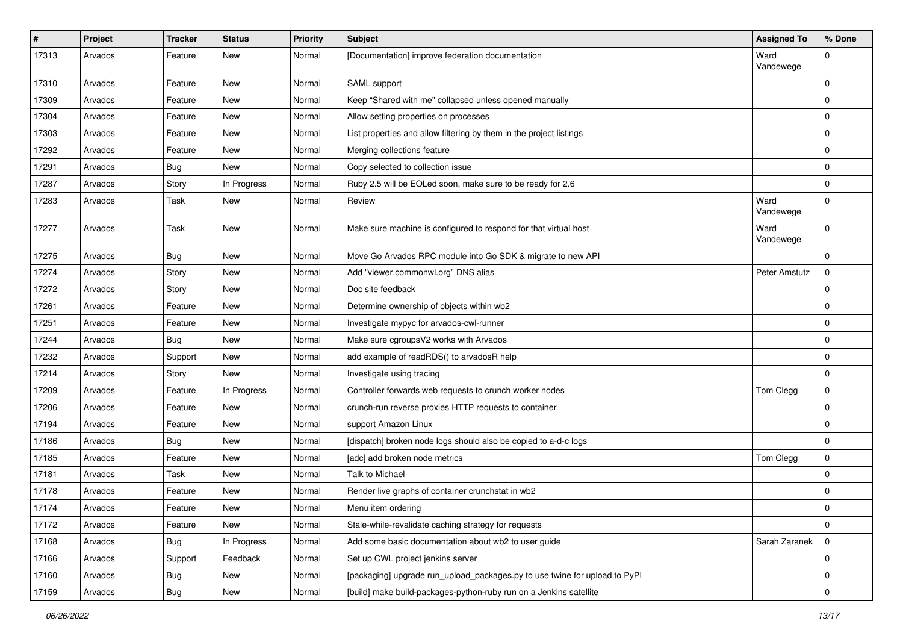| $\sharp$ | Project | <b>Tracker</b> | <b>Status</b> | <b>Priority</b> | <b>Subject</b>                                                             | <b>Assigned To</b> | % Done      |
|----------|---------|----------------|---------------|-----------------|----------------------------------------------------------------------------|--------------------|-------------|
| 17313    | Arvados | Feature        | New           | Normal          | [Documentation] improve federation documentation                           | Ward<br>Vandewege  | $\Omega$    |
| 17310    | Arvados | Feature        | New           | Normal          | SAML support                                                               |                    | 0           |
| 17309    | Arvados | Feature        | New           | Normal          | Keep "Shared with me" collapsed unless opened manually                     |                    | $\mathbf 0$ |
| 17304    | Arvados | Feature        | New           | Normal          | Allow setting properties on processes                                      |                    | $\mathbf 0$ |
| 17303    | Arvados | Feature        | New           | Normal          | List properties and allow filtering by them in the project listings        |                    | 0           |
| 17292    | Arvados | Feature        | New           | Normal          | Merging collections feature                                                |                    | $\mathbf 0$ |
| 17291    | Arvados | <b>Bug</b>     | New           | Normal          | Copy selected to collection issue                                          |                    | 0           |
| 17287    | Arvados | Story          | In Progress   | Normal          | Ruby 2.5 will be EOLed soon, make sure to be ready for 2.6                 |                    | $\mathbf 0$ |
| 17283    | Arvados | Task           | New           | Normal          | Review                                                                     | Ward<br>Vandewege  | $\mathbf 0$ |
| 17277    | Arvados | Task           | New           | Normal          | Make sure machine is configured to respond for that virtual host           | Ward<br>Vandewege  | $\mathbf 0$ |
| 17275    | Arvados | <b>Bug</b>     | New           | Normal          | Move Go Arvados RPC module into Go SDK & migrate to new API                |                    | $\mathbf 0$ |
| 17274    | Arvados | Story          | New           | Normal          | Add "viewer.commonwl.org" DNS alias                                        | Peter Amstutz      | $\mathbf 0$ |
| 17272    | Arvados | Story          | New           | Normal          | Doc site feedback                                                          |                    | 0           |
| 17261    | Arvados | Feature        | New           | Normal          | Determine ownership of objects within wb2                                  |                    | $\mathbf 0$ |
| 17251    | Arvados | Feature        | New           | Normal          | Investigate mypyc for arvados-cwl-runner                                   |                    | 0           |
| 17244    | Arvados | <b>Bug</b>     | New           | Normal          | Make sure cgroupsV2 works with Arvados                                     |                    | $\mathbf 0$ |
| 17232    | Arvados | Support        | New           | Normal          | add example of readRDS() to arvadosR help                                  |                    | $\mathbf 0$ |
| 17214    | Arvados | Story          | New           | Normal          | Investigate using tracing                                                  |                    | $\mathbf 0$ |
| 17209    | Arvados | Feature        | In Progress   | Normal          | Controller forwards web requests to crunch worker nodes                    | Tom Clegg          | $\mathbf 0$ |
| 17206    | Arvados | Feature        | New           | Normal          | crunch-run reverse proxies HTTP requests to container                      |                    | $\mathbf 0$ |
| 17194    | Arvados | Feature        | New           | Normal          | support Amazon Linux                                                       |                    | $\mathbf 0$ |
| 17186    | Arvados | Bug            | New           | Normal          | [dispatch] broken node logs should also be copied to a-d-c logs            |                    | $\mathbf 0$ |
| 17185    | Arvados | Feature        | New           | Normal          | [adc] add broken node metrics                                              | Tom Clegg          | $\mathbf 0$ |
| 17181    | Arvados | Task           | New           | Normal          | Talk to Michael                                                            |                    | $\mathbf 0$ |
| 17178    | Arvados | Feature        | <b>New</b>    | Normal          | Render live graphs of container crunchstat in wb2                          |                    | $\mathbf 0$ |
| 17174    | Arvados | Feature        | New           | Normal          | Menu item ordering                                                         |                    | $\mathbf 0$ |
| 17172    | Arvados | Feature        | New           | Normal          | Stale-while-revalidate caching strategy for requests                       |                    | $\mathbf 0$ |
| 17168    | Arvados | Bug            | In Progress   | Normal          | Add some basic documentation about wb2 to user guide                       | Sarah Zaranek      | $\mathbf 0$ |
| 17166    | Arvados | Support        | Feedback      | Normal          | Set up CWL project jenkins server                                          |                    | 0           |
| 17160    | Arvados | Bug            | New           | Normal          | [packaging] upgrade run_upload_packages.py to use twine for upload to PyPI |                    | $\mathbf 0$ |
| 17159    | Arvados | Bug            | New           | Normal          | [build] make build-packages-python-ruby run on a Jenkins satellite         |                    | $\mathbf 0$ |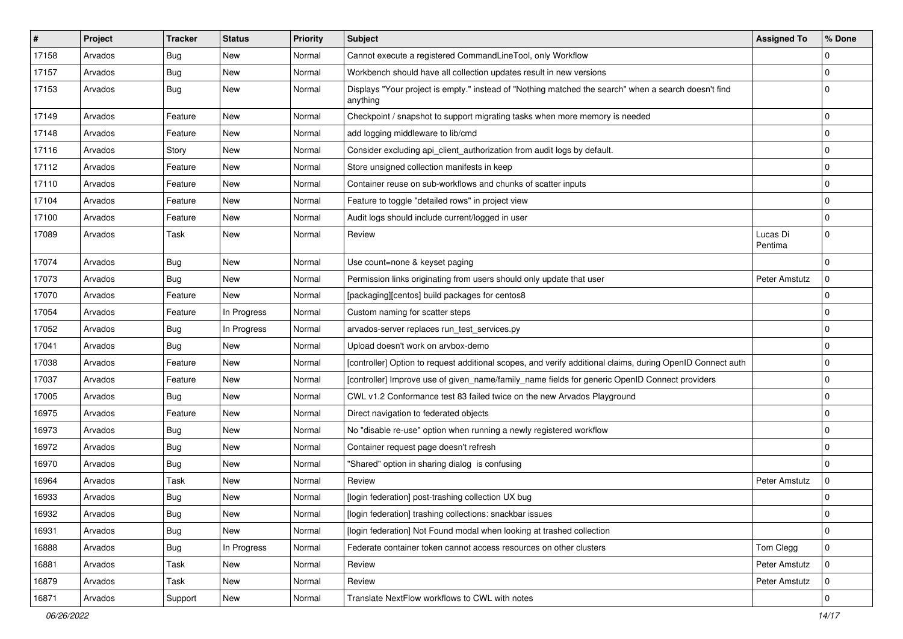| $\sharp$ | Project | <b>Tracker</b> | <b>Status</b> | <b>Priority</b> | <b>Subject</b>                                                                                                   | <b>Assigned To</b>  | % Done      |
|----------|---------|----------------|---------------|-----------------|------------------------------------------------------------------------------------------------------------------|---------------------|-------------|
| 17158    | Arvados | <b>Bug</b>     | New           | Normal          | Cannot execute a registered CommandLineTool, only Workflow                                                       |                     | $\Omega$    |
| 17157    | Arvados | <b>Bug</b>     | New           | Normal          | Workbench should have all collection updates result in new versions                                              |                     | 0           |
| 17153    | Arvados | Bug            | New           | Normal          | Displays "Your project is empty." instead of "Nothing matched the search" when a search doesn't find<br>anything |                     | $\mathbf 0$ |
| 17149    | Arvados | Feature        | New           | Normal          | Checkpoint / snapshot to support migrating tasks when more memory is needed                                      |                     | $\mathbf 0$ |
| 17148    | Arvados | Feature        | New           | Normal          | add logging middleware to lib/cmd                                                                                |                     | $\pmb{0}$   |
| 17116    | Arvados | Story          | New           | Normal          | Consider excluding api_client_authorization from audit logs by default.                                          |                     | $\pmb{0}$   |
| 17112    | Arvados | Feature        | New           | Normal          | Store unsigned collection manifests in keep                                                                      |                     | 0           |
| 17110    | Arvados | Feature        | New           | Normal          | Container reuse on sub-workflows and chunks of scatter inputs                                                    |                     | $\pmb{0}$   |
| 17104    | Arvados | Feature        | New           | Normal          | Feature to toggle "detailed rows" in project view                                                                |                     | 0           |
| 17100    | Arvados | Feature        | New           | Normal          | Audit logs should include current/logged in user                                                                 |                     | $\mathbf 0$ |
| 17089    | Arvados | Task           | New           | Normal          | Review                                                                                                           | Lucas Di<br>Pentima | $\mathbf 0$ |
| 17074    | Arvados | <b>Bug</b>     | <b>New</b>    | Normal          | Use count=none & keyset paging                                                                                   |                     | $\mathbf 0$ |
| 17073    | Arvados | <b>Bug</b>     | New           | Normal          | Permission links originating from users should only update that user                                             | Peter Amstutz       | $\mathbf 0$ |
| 17070    | Arvados | Feature        | New           | Normal          | [packaging][centos] build packages for centos8                                                                   |                     | 0           |
| 17054    | Arvados | Feature        | In Progress   | Normal          | Custom naming for scatter steps                                                                                  |                     | $\pmb{0}$   |
| 17052    | Arvados | <b>Bug</b>     | In Progress   | Normal          | arvados-server replaces run_test_services.py                                                                     |                     | 0           |
| 17041    | Arvados | <b>Bug</b>     | New           | Normal          | Upload doesn't work on arvbox-demo                                                                               |                     | 0           |
| 17038    | Arvados | Feature        | New           | Normal          | [controller] Option to request additional scopes, and verify additional claims, during OpenID Connect auth       |                     | 0           |
| 17037    | Arvados | Feature        | New           | Normal          | [controller] Improve use of given_name/family_name fields for generic OpenID Connect providers                   |                     | 0           |
| 17005    | Arvados | <b>Bug</b>     | New           | Normal          | CWL v1.2 Conformance test 83 failed twice on the new Arvados Playground                                          |                     | $\pmb{0}$   |
| 16975    | Arvados | Feature        | New           | Normal          | Direct navigation to federated objects                                                                           |                     | 0           |
| 16973    | Arvados | <b>Bug</b>     | New           | Normal          | No "disable re-use" option when running a newly registered workflow                                              |                     | $\pmb{0}$   |
| 16972    | Arvados | Bug            | New           | Normal          | Container request page doesn't refresh                                                                           |                     | 0           |
| 16970    | Arvados | <b>Bug</b>     | New           | Normal          | "Shared" option in sharing dialog is confusing                                                                   |                     | $\mathbf 0$ |
| 16964    | Arvados | Task           | <b>New</b>    | Normal          | Review                                                                                                           | Peter Amstutz       | $\mathbf 0$ |
| 16933    | Arvados | <b>Bug</b>     | New           | Normal          | [login federation] post-trashing collection UX bug                                                               |                     | $\mathbf 0$ |
| 16932    | Arvados | <b>Bug</b>     | New           | Normal          | [login federation] trashing collections: snackbar issues                                                         |                     | 0           |
| 16931    | Arvados | <b>Bug</b>     | New           | Normal          | [login federation] Not Found modal when looking at trashed collection                                            |                     | $\mathbf 0$ |
| 16888    | Arvados | <b>Bug</b>     | In Progress   | Normal          | Federate container token cannot access resources on other clusters                                               | Tom Clegg           | 0           |
| 16881    | Arvados | Task           | New           | Normal          | Review                                                                                                           | Peter Amstutz       | $\mathbf 0$ |
| 16879    | Arvados | Task           | New           | Normal          | Review                                                                                                           | Peter Amstutz       | 0           |
| 16871    | Arvados | Support        | New           | Normal          | Translate NextFlow workflows to CWL with notes                                                                   |                     | $\mathbf 0$ |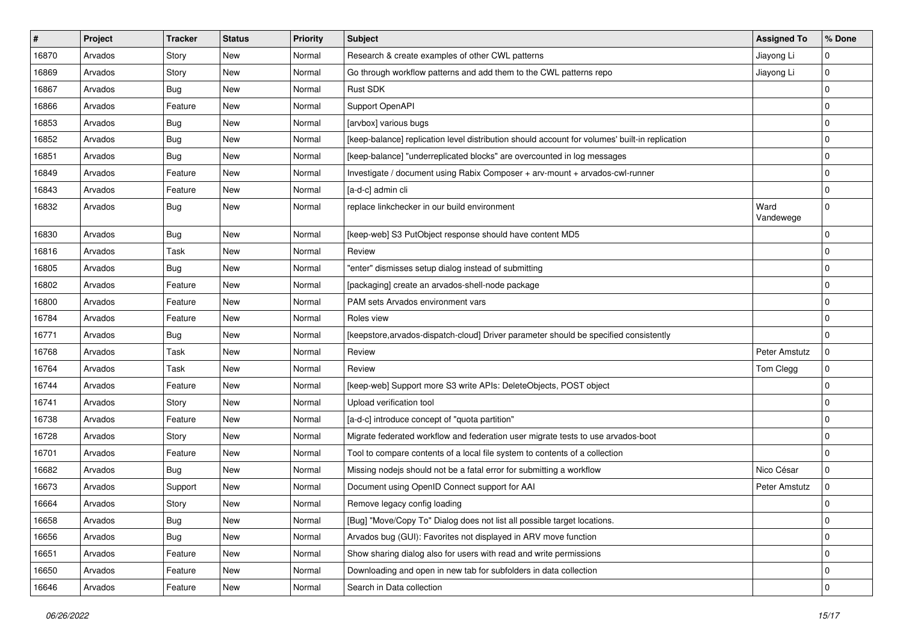| $\sharp$ | Project | <b>Tracker</b> | <b>Status</b> | <b>Priority</b> | <b>Subject</b>                                                                                 | <b>Assigned To</b> | % Done      |
|----------|---------|----------------|---------------|-----------------|------------------------------------------------------------------------------------------------|--------------------|-------------|
| 16870    | Arvados | Story          | New           | Normal          | Research & create examples of other CWL patterns                                               | Jiayong Li         | 0           |
| 16869    | Arvados | Story          | <b>New</b>    | Normal          | Go through workflow patterns and add them to the CWL patterns repo                             | Jiayong Li         | $\mathbf 0$ |
| 16867    | Arvados | Bug            | New           | Normal          | <b>Rust SDK</b>                                                                                |                    | $\mathbf 0$ |
| 16866    | Arvados | Feature        | New           | Normal          | Support OpenAPI                                                                                |                    | $\mathbf 0$ |
| 16853    | Arvados | <b>Bug</b>     | New           | Normal          | [arvbox] various bugs                                                                          |                    | 0           |
| 16852    | Arvados | <b>Bug</b>     | New           | Normal          | [keep-balance] replication level distribution should account for volumes' built-in replication |                    | 0           |
| 16851    | Arvados | Bug            | <b>New</b>    | Normal          | [keep-balance] "underreplicated blocks" are overcounted in log messages                        |                    | $\mathbf 0$ |
| 16849    | Arvados | Feature        | New           | Normal          | Investigate / document using Rabix Composer + arv-mount + arvados-cwl-runner                   |                    | $\mathbf 0$ |
| 16843    | Arvados | Feature        | New           | Normal          | [a-d-c] admin cli                                                                              |                    | $\mathbf 0$ |
| 16832    | Arvados | <b>Bug</b>     | New           | Normal          | replace linkchecker in our build environment                                                   | Ward<br>Vandewege  | $\mathbf 0$ |
| 16830    | Arvados | <b>Bug</b>     | New           | Normal          | [keep-web] S3 PutObject response should have content MD5                                       |                    | $\mathbf 0$ |
| 16816    | Arvados | Task           | New           | Normal          | Review                                                                                         |                    | $\mathbf 0$ |
| 16805    | Arvados | <b>Bug</b>     | New           | Normal          | "enter" dismisses setup dialog instead of submitting                                           |                    | 0           |
| 16802    | Arvados | Feature        | <b>New</b>    | Normal          | [packaging] create an arvados-shell-node package                                               |                    | $\mathbf 0$ |
| 16800    | Arvados | Feature        | New           | Normal          | PAM sets Arvados environment vars                                                              |                    | $\mathbf 0$ |
| 16784    | Arvados | Feature        | New           | Normal          | Roles view                                                                                     |                    | $\mathbf 0$ |
| 16771    | Arvados | <b>Bug</b>     | New           | Normal          | [keepstore, arvados-dispatch-cloud] Driver parameter should be specified consistently          |                    | $\mathbf 0$ |
| 16768    | Arvados | Task           | New           | Normal          | Review                                                                                         | Peter Amstutz      | $\mathbf 0$ |
| 16764    | Arvados | Task           | New           | Normal          | Review                                                                                         | Tom Clegg          | $\mathbf 0$ |
| 16744    | Arvados | Feature        | New           | Normal          | [keep-web] Support more S3 write APIs: DeleteObjects, POST object                              |                    | 0           |
| 16741    | Arvados | Story          | New           | Normal          | Upload verification tool                                                                       |                    | $\mathbf 0$ |
| 16738    | Arvados | Feature        | New           | Normal          | [a-d-c] introduce concept of "quota partition"                                                 |                    | 0           |
| 16728    | Arvados | Story          | New           | Normal          | Migrate federated workflow and federation user migrate tests to use arvados-boot               |                    | $\mathbf 0$ |
| 16701    | Arvados | Feature        | New           | Normal          | Tool to compare contents of a local file system to contents of a collection                    |                    | 0           |
| 16682    | Arvados | <b>Bug</b>     | New           | Normal          | Missing nodejs should not be a fatal error for submitting a workflow                           | Nico César         | $\mathbf 0$ |
| 16673    | Arvados | Support        | New           | Normal          | Document using OpenID Connect support for AAI                                                  | Peter Amstutz      | $\Omega$    |
| 16664    | Arvados | Story          | New           | Normal          | Remove legacy config loading                                                                   |                    | $\Omega$    |
| 16658    | Arvados | Bug            | New           | Normal          | [Bug] "Move/Copy To" Dialog does not list all possible target locations.                       |                    | $\mathbf 0$ |
| 16656    | Arvados | <b>Bug</b>     | New           | Normal          | Arvados bug (GUI): Favorites not displayed in ARV move function                                |                    | $\mathbf 0$ |
| 16651    | Arvados | Feature        | New           | Normal          | Show sharing dialog also for users with read and write permissions                             |                    | $\mathbf 0$ |
| 16650    | Arvados | Feature        | New           | Normal          | Downloading and open in new tab for subfolders in data collection                              |                    | 0           |
| 16646    | Arvados | Feature        | New           | Normal          | Search in Data collection                                                                      |                    | $\mathbf 0$ |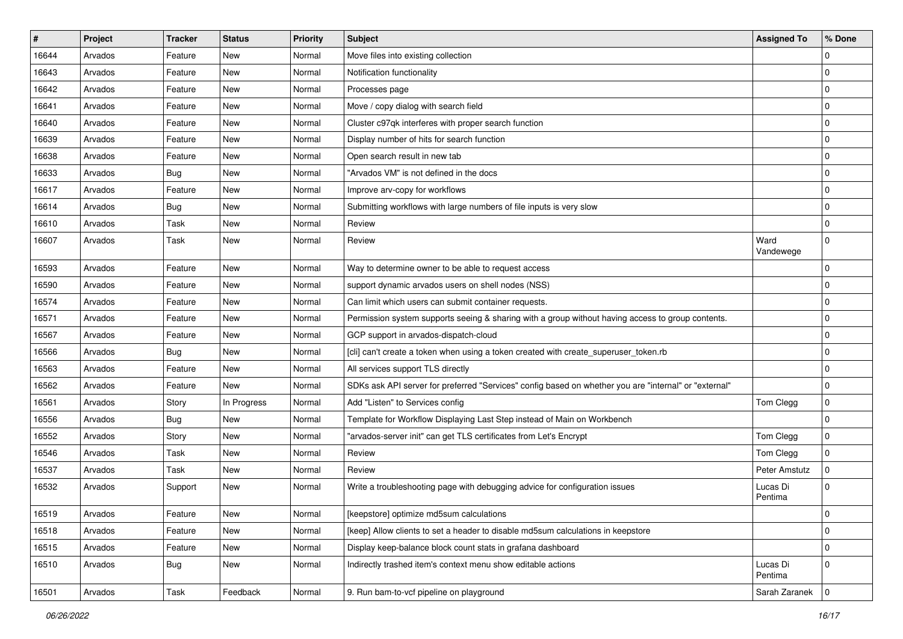| $\sharp$ | Project | <b>Tracker</b> | <b>Status</b> | <b>Priority</b> | <b>Subject</b>                                                                                        | <b>Assigned To</b>  | % Done      |
|----------|---------|----------------|---------------|-----------------|-------------------------------------------------------------------------------------------------------|---------------------|-------------|
| 16644    | Arvados | Feature        | New           | Normal          | Move files into existing collection                                                                   |                     | 0           |
| 16643    | Arvados | Feature        | New           | Normal          | Notification functionality                                                                            |                     | 0           |
| 16642    | Arvados | Feature        | New           | Normal          | Processes page                                                                                        |                     | 0           |
| 16641    | Arvados | Feature        | New           | Normal          | Move / copy dialog with search field                                                                  |                     | 0           |
| 16640    | Arvados | Feature        | New           | Normal          | Cluster c97qk interferes with proper search function                                                  |                     | 0           |
| 16639    | Arvados | Feature        | New           | Normal          | Display number of hits for search function                                                            |                     | 0           |
| 16638    | Arvados | Feature        | <b>New</b>    | Normal          | Open search result in new tab                                                                         |                     | 0           |
| 16633    | Arvados | Bug            | New           | Normal          | "Arvados VM" is not defined in the docs                                                               |                     | 0           |
| 16617    | Arvados | Feature        | New           | Normal          | Improve arv-copy for workflows                                                                        |                     | $\pmb{0}$   |
| 16614    | Arvados | <b>Bug</b>     | <b>New</b>    | Normal          | Submitting workflows with large numbers of file inputs is very slow                                   |                     | 0           |
| 16610    | Arvados | Task           | New           | Normal          | Review                                                                                                |                     | 0           |
| 16607    | Arvados | Task           | <b>New</b>    | Normal          | Review                                                                                                | Ward<br>Vandewege   | $\mathbf 0$ |
| 16593    | Arvados | Feature        | New           | Normal          | Way to determine owner to be able to request access                                                   |                     | 0           |
| 16590    | Arvados | Feature        | New           | Normal          | support dynamic arvados users on shell nodes (NSS)                                                    |                     | 0           |
| 16574    | Arvados | Feature        | New           | Normal          | Can limit which users can submit container requests.                                                  |                     | 0           |
| 16571    | Arvados | Feature        | New           | Normal          | Permission system supports seeing & sharing with a group without having access to group contents.     |                     | 0           |
| 16567    | Arvados | Feature        | New           | Normal          | GCP support in arvados-dispatch-cloud                                                                 |                     | 0           |
| 16566    | Arvados | <b>Bug</b>     | New           | Normal          | [cli] can't create a token when using a token created with create_superuser_token.rb                  |                     | 0           |
| 16563    | Arvados | Feature        | <b>New</b>    | Normal          | All services support TLS directly                                                                     |                     | $\pmb{0}$   |
| 16562    | Arvados | Feature        | New           | Normal          | SDKs ask API server for preferred "Services" config based on whether you are "internal" or "external" |                     | 0           |
| 16561    | Arvados | Story          | In Progress   | Normal          | Add "Listen" to Services config                                                                       | Tom Clegg           | 0           |
| 16556    | Arvados | Bug            | <b>New</b>    | Normal          | Template for Workflow Displaying Last Step instead of Main on Workbench                               |                     | 0           |
| 16552    | Arvados | Story          | New           | Normal          | "arvados-server init" can get TLS certificates from Let's Encrypt                                     | Tom Clegg           | $\pmb{0}$   |
| 16546    | Arvados | Task           | New           | Normal          | Review                                                                                                | Tom Clegg           | 0           |
| 16537    | Arvados | Task           | New           | Normal          | Review                                                                                                | Peter Amstutz       | 0           |
| 16532    | Arvados | Support        | New           | Normal          | Write a troubleshooting page with debugging advice for configuration issues                           | Lucas Di<br>Pentima | $\mathbf 0$ |
| 16519    | Arvados | Feature        | New           | Normal          | [keepstore] optimize md5sum calculations                                                              |                     | 0           |
| 16518    | Arvados | Feature        | New           | Normal          | [keep] Allow clients to set a header to disable md5sum calculations in keepstore                      |                     | 0           |
| 16515    | Arvados | Feature        | New           | Normal          | Display keep-balance block count stats in grafana dashboard                                           |                     | 0           |
| 16510    | Arvados | <b>Bug</b>     | New           | Normal          | Indirectly trashed item's context menu show editable actions                                          | Lucas Di<br>Pentima | 0           |
| 16501    | Arvados | Task           | Feedback      | Normal          | 9. Run bam-to-vcf pipeline on playground                                                              | Sarah Zaranek       | 0           |